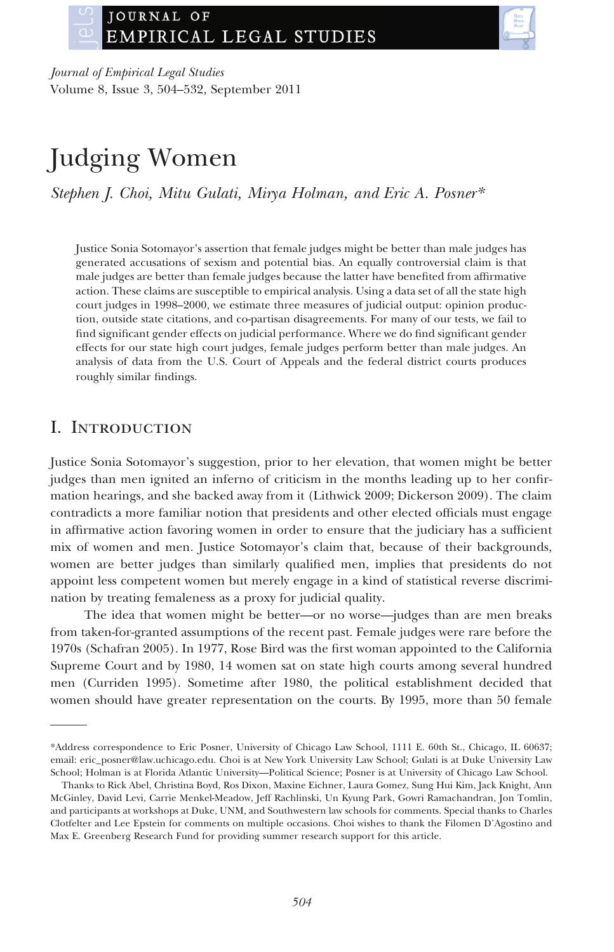

*Journal of Empirical Legal Studies* Volume 8, Issue 3, 504–532, September 2011

# Judging Women

*Stephen J. Choi, Mitu Gulati, Mirya Holman, and Eric A. Posner\**

Justice Sonia Sotomayor's assertion that female judges might be better than male judges has generated accusations of sexism and potential bias. An equally controversial claim is that male judges are better than female judges because the latter have benefited from affirmative action. These claims are susceptible to empirical analysis. Using a data set of all the state high court judges in 1998–2000, we estimate three measures of judicial output: opinion production, outside state citations, and co-partisan disagreements. For many of our tests, we fail to find significant gender effects on judicial performance. Where we do find significant gender effects for our state high court judges, female judges perform better than male judges. An analysis of data from the U.S. Court of Appeals and the federal district courts produces roughly similar findings.

# I. Introduction

Justice Sonia Sotomayor's suggestion, prior to her elevation, that women might be better judges than men ignited an inferno of criticism in the months leading up to her confirmation hearings, and she backed away from it (Lithwick 2009; Dickerson 2009). The claim contradicts a more familiar notion that presidents and other elected officials must engage in affirmative action favoring women in order to ensure that the judiciary has a sufficient mix of women and men. Justice Sotomayor's claim that, because of their backgrounds, women are better judges than similarly qualified men, implies that presidents do not appoint less competent women but merely engage in a kind of statistical reverse discrimination by treating femaleness as a proxy for judicial quality.

The idea that women might be better—or no worse—judges than are men breaks from taken-for-granted assumptions of the recent past. Female judges were rare before the 1970s (Schafran 2005). In 1977, Rose Bird was the first woman appointed to the California Supreme Court and by 1980, 14 women sat on state high courts among several hundred men (Curriden 1995). Sometime after 1980, the political establishment decided that women should have greater representation on the courts. By 1995, more than 50 female

<sup>\*</sup>Address correspondence to Eric Posner, University of Chicago Law School, 1111 E. 60th St., Chicago, IL 60637; email: eric\_posner@law.uchicago.edu. Choi is at New York University Law School; Gulati is at Duke University Law School; Holman is at Florida Atlantic University—Political Science; Posner is at University of Chicago Law School.

Thanks to Rick Abel, Christina Boyd, Ros Dixon, Maxine Eichner, Laura Gomez, Sung Hui Kim, Jack Knight, Ann McGinley, David Levi, Carrie Menkel-Meadow, Jeff Rachlinski, Un Kyung Park, Gowri Ramachandran, Jon Tomlin, and participants at workshops at Duke, UNM, and Southwestern law schools for comments. Special thanks to Charles Clotfelter and Lee Epstein for comments on multiple occasions. Choi wishes to thank the Filomen D'Agostino and Max E. Greenberg Research Fund for providing summer research support for this article.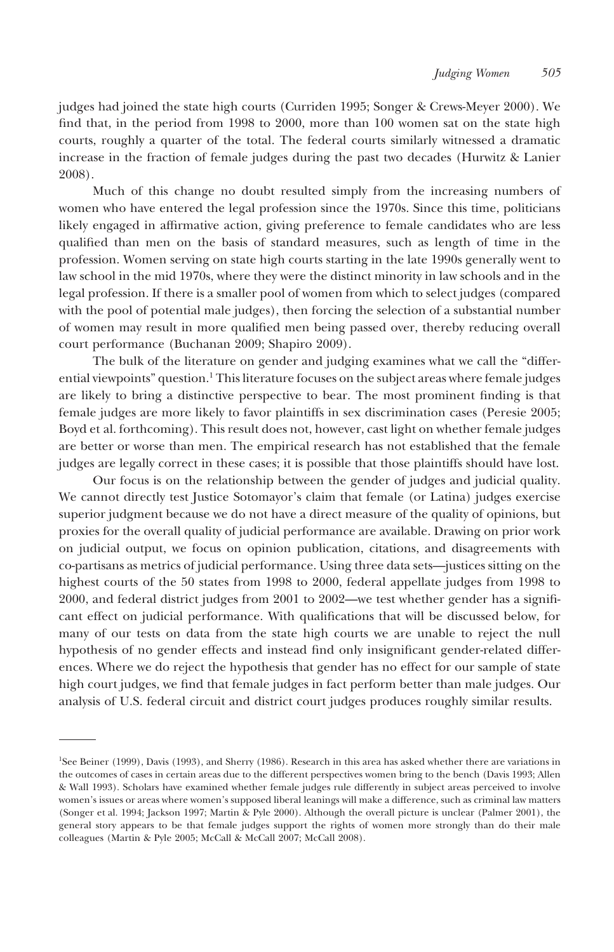judges had joined the state high courts (Curriden 1995; Songer & Crews-Meyer 2000). We find that, in the period from 1998 to 2000, more than 100 women sat on the state high courts, roughly a quarter of the total. The federal courts similarly witnessed a dramatic increase in the fraction of female judges during the past two decades (Hurwitz & Lanier 2008).

Much of this change no doubt resulted simply from the increasing numbers of women who have entered the legal profession since the 1970s. Since this time, politicians likely engaged in affirmative action, giving preference to female candidates who are less qualified than men on the basis of standard measures, such as length of time in the profession. Women serving on state high courts starting in the late 1990s generally went to law school in the mid 1970s, where they were the distinct minority in law schools and in the legal profession. If there is a smaller pool of women from which to select judges (compared with the pool of potential male judges), then forcing the selection of a substantial number of women may result in more qualified men being passed over, thereby reducing overall court performance (Buchanan 2009; Shapiro 2009).

The bulk of the literature on gender and judging examines what we call the "differential viewpoints" question.<sup>1</sup> This literature focuses on the subject areas where female judges are likely to bring a distinctive perspective to bear. The most prominent finding is that female judges are more likely to favor plaintiffs in sex discrimination cases (Peresie 2005; Boyd et al. forthcoming). This result does not, however, cast light on whether female judges are better or worse than men. The empirical research has not established that the female judges are legally correct in these cases; it is possible that those plaintiffs should have lost.

Our focus is on the relationship between the gender of judges and judicial quality. We cannot directly test Justice Sotomayor's claim that female (or Latina) judges exercise superior judgment because we do not have a direct measure of the quality of opinions, but proxies for the overall quality of judicial performance are available. Drawing on prior work on judicial output, we focus on opinion publication, citations, and disagreements with co-partisans as metrics of judicial performance. Using three data sets—justices sitting on the highest courts of the 50 states from 1998 to 2000, federal appellate judges from 1998 to 2000, and federal district judges from 2001 to 2002—we test whether gender has a significant effect on judicial performance. With qualifications that will be discussed below, for many of our tests on data from the state high courts we are unable to reject the null hypothesis of no gender effects and instead find only insignificant gender-related differences. Where we do reject the hypothesis that gender has no effect for our sample of state high court judges, we find that female judges in fact perform better than male judges. Our analysis of U.S. federal circuit and district court judges produces roughly similar results.

<sup>&</sup>lt;sup>1</sup>See Beiner (1999), Davis (1993), and Sherry (1986). Research in this area has asked whether there are variations in the outcomes of cases in certain areas due to the different perspectives women bring to the bench (Davis 1993; Allen & Wall 1993). Scholars have examined whether female judges rule differently in subject areas perceived to involve women's issues or areas where women's supposed liberal leanings will make a difference, such as criminal law matters (Songer et al. 1994; Jackson 1997; Martin & Pyle 2000). Although the overall picture is unclear (Palmer 2001), the general story appears to be that female judges support the rights of women more strongly than do their male colleagues (Martin & Pyle 2005; McCall & McCall 2007; McCall 2008).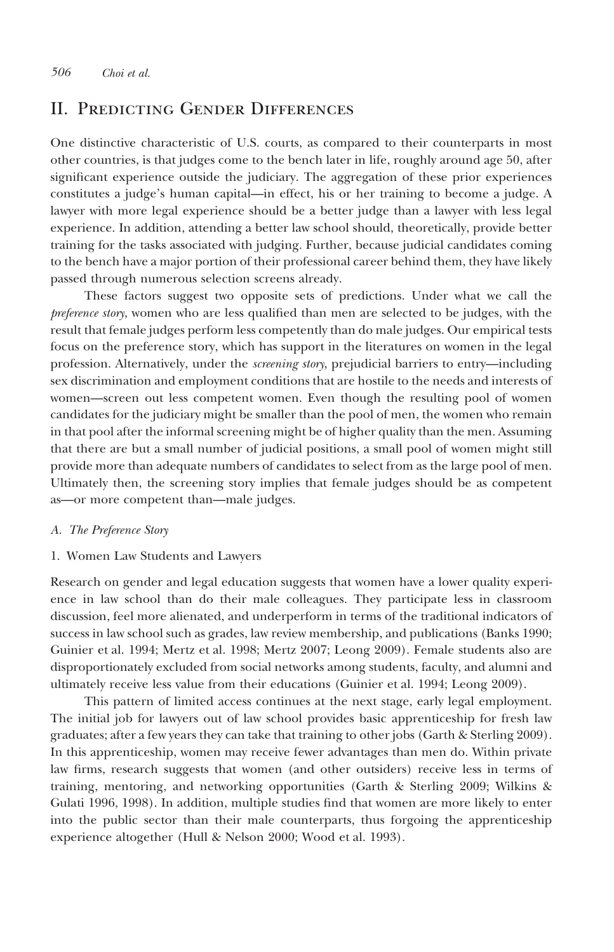## II. Predicting Gender Differences

One distinctive characteristic of U.S. courts, as compared to their counterparts in most other countries, is that judges come to the bench later in life, roughly around age 50, after significant experience outside the judiciary. The aggregation of these prior experiences constitutes a judge's human capital—in effect, his or her training to become a judge. A lawyer with more legal experience should be a better judge than a lawyer with less legal experience. In addition, attending a better law school should, theoretically, provide better training for the tasks associated with judging. Further, because judicial candidates coming to the bench have a major portion of their professional career behind them, they have likely passed through numerous selection screens already.

These factors suggest two opposite sets of predictions. Under what we call the *preference story*, women who are less qualified than men are selected to be judges, with the result that female judges perform less competently than do male judges. Our empirical tests focus on the preference story, which has support in the literatures on women in the legal profession. Alternatively, under the *screening story*, prejudicial barriers to entry—including sex discrimination and employment conditions that are hostile to the needs and interests of women—screen out less competent women. Even though the resulting pool of women candidates for the judiciary might be smaller than the pool of men, the women who remain in that pool after the informal screening might be of higher quality than the men. Assuming that there are but a small number of judicial positions, a small pool of women might still provide more than adequate numbers of candidates to select from as the large pool of men. Ultimately then, the screening story implies that female judges should be as competent as—or more competent than—male judges.

#### *A. The Preference Story*

#### 1. Women Law Students and Lawyers

Research on gender and legal education suggests that women have a lower quality experience in law school than do their male colleagues. They participate less in classroom discussion, feel more alienated, and underperform in terms of the traditional indicators of success in law school such as grades, law review membership, and publications (Banks 1990; Guinier et al. 1994; Mertz et al. 1998; Mertz 2007; Leong 2009). Female students also are disproportionately excluded from social networks among students, faculty, and alumni and ultimately receive less value from their educations (Guinier et al. 1994; Leong 2009).

This pattern of limited access continues at the next stage, early legal employment. The initial job for lawyers out of law school provides basic apprenticeship for fresh law graduates; after a few years they can take that training to other jobs (Garth & Sterling 2009). In this apprenticeship, women may receive fewer advantages than men do. Within private law firms, research suggests that women (and other outsiders) receive less in terms of training, mentoring, and networking opportunities (Garth & Sterling 2009; Wilkins & Gulati 1996, 1998). In addition, multiple studies find that women are more likely to enter into the public sector than their male counterparts, thus forgoing the apprenticeship experience altogether (Hull & Nelson 2000; Wood et al. 1993).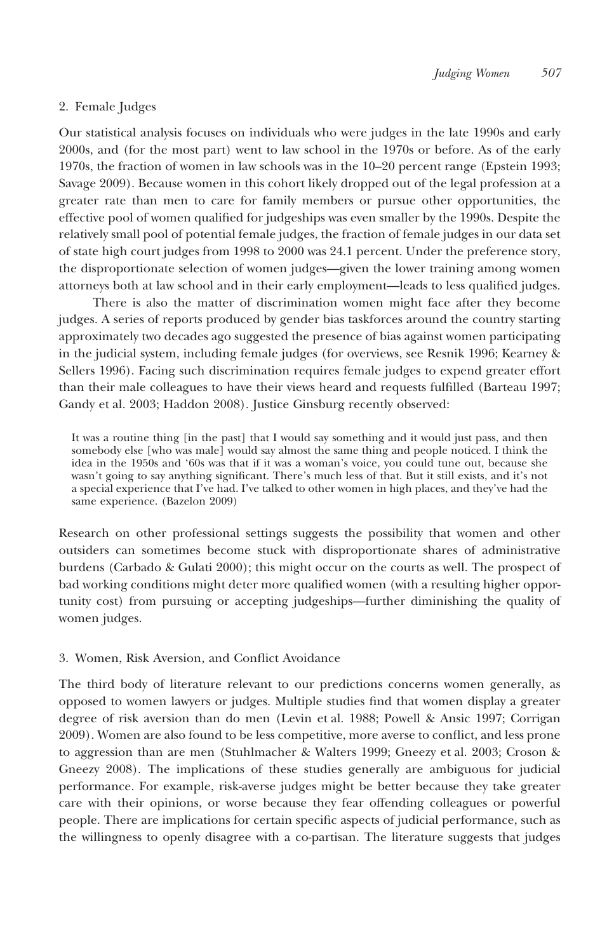#### 2. Female Judges

Our statistical analysis focuses on individuals who were judges in the late 1990s and early 2000s, and (for the most part) went to law school in the 1970s or before. As of the early 1970s, the fraction of women in law schools was in the 10–20 percent range (Epstein 1993; Savage 2009). Because women in this cohort likely dropped out of the legal profession at a greater rate than men to care for family members or pursue other opportunities, the effective pool of women qualified for judgeships was even smaller by the 1990s. Despite the relatively small pool of potential female judges, the fraction of female judges in our data set of state high court judges from 1998 to 2000 was 24.1 percent. Under the preference story, the disproportionate selection of women judges—given the lower training among women attorneys both at law school and in their early employment—leads to less qualified judges.

There is also the matter of discrimination women might face after they become judges. A series of reports produced by gender bias taskforces around the country starting approximately two decades ago suggested the presence of bias against women participating in the judicial system, including female judges (for overviews, see Resnik 1996; Kearney & Sellers 1996). Facing such discrimination requires female judges to expend greater effort than their male colleagues to have their views heard and requests fulfilled (Barteau 1997; Gandy et al. 2003; Haddon 2008). Justice Ginsburg recently observed:

It was a routine thing [in the past] that I would say something and it would just pass, and then somebody else [who was male] would say almost the same thing and people noticed. I think the idea in the 1950s and '60s was that if it was a woman's voice, you could tune out, because she wasn't going to say anything significant. There's much less of that. But it still exists, and it's not a special experience that I've had. I've talked to other women in high places, and they've had the same experience. (Bazelon 2009)

Research on other professional settings suggests the possibility that women and other outsiders can sometimes become stuck with disproportionate shares of administrative burdens (Carbado & Gulati 2000); this might occur on the courts as well. The prospect of bad working conditions might deter more qualified women (with a resulting higher opportunity cost) from pursuing or accepting judgeships—further diminishing the quality of women judges.

#### 3. Women, Risk Aversion, and Conflict Avoidance

The third body of literature relevant to our predictions concerns women generally, as opposed to women lawyers or judges. Multiple studies find that women display a greater degree of risk aversion than do men (Levin et al. 1988; Powell & Ansic 1997; Corrigan 2009). Women are also found to be less competitive, more averse to conflict, and less prone to aggression than are men (Stuhlmacher & Walters 1999; Gneezy et al. 2003; Croson & Gneezy 2008). The implications of these studies generally are ambiguous for judicial performance. For example, risk-averse judges might be better because they take greater care with their opinions, or worse because they fear offending colleagues or powerful people. There are implications for certain specific aspects of judicial performance, such as the willingness to openly disagree with a co-partisan. The literature suggests that judges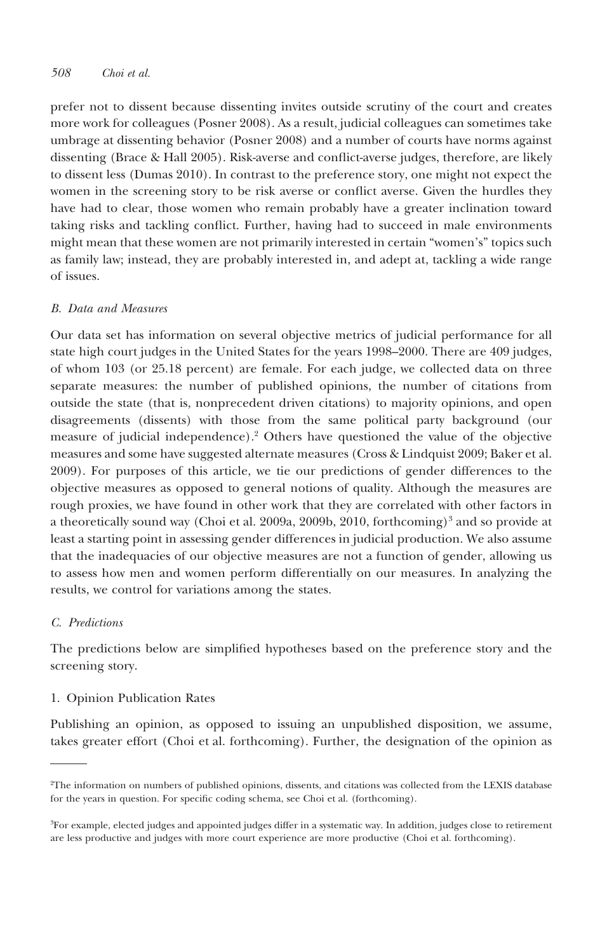prefer not to dissent because dissenting invites outside scrutiny of the court and creates more work for colleagues (Posner 2008). As a result, judicial colleagues can sometimes take umbrage at dissenting behavior (Posner 2008) and a number of courts have norms against dissenting (Brace & Hall 2005). Risk-averse and conflict-averse judges, therefore, are likely to dissent less (Dumas 2010). In contrast to the preference story, one might not expect the women in the screening story to be risk averse or conflict averse. Given the hurdles they have had to clear, those women who remain probably have a greater inclination toward taking risks and tackling conflict. Further, having had to succeed in male environments might mean that these women are not primarily interested in certain "women's" topics such as family law; instead, they are probably interested in, and adept at, tackling a wide range of issues.

#### *B. Data and Measures*

Our data set has information on several objective metrics of judicial performance for all state high court judges in the United States for the years 1998–2000. There are 409 judges, of whom 103 (or 25.18 percent) are female. For each judge, we collected data on three separate measures: the number of published opinions, the number of citations from outside the state (that is, nonprecedent driven citations) to majority opinions, and open disagreements (dissents) with those from the same political party background (our measure of judicial independence).<sup>2</sup> Others have questioned the value of the objective measures and some have suggested alternate measures (Cross & Lindquist 2009; Baker et al. 2009). For purposes of this article, we tie our predictions of gender differences to the objective measures as opposed to general notions of quality. Although the measures are rough proxies, we have found in other work that they are correlated with other factors in a theoretically sound way (Choi et al. 2009a, 2009b, 2010, forthcoming)3 and so provide at least a starting point in assessing gender differences in judicial production. We also assume that the inadequacies of our objective measures are not a function of gender, allowing us to assess how men and women perform differentially on our measures. In analyzing the results, we control for variations among the states.

#### *C. Predictions*

The predictions below are simplified hypotheses based on the preference story and the screening story.

#### 1. Opinion Publication Rates

Publishing an opinion, as opposed to issuing an unpublished disposition, we assume, takes greater effort (Choi et al. forthcoming). Further, the designation of the opinion as

<sup>2</sup> The information on numbers of published opinions, dissents, and citations was collected from the LEXIS database for the years in question. For specific coding schema, see Choi et al. (forthcoming).

<sup>3</sup> For example, elected judges and appointed judges differ in a systematic way. In addition, judges close to retirement are less productive and judges with more court experience are more productive (Choi et al. forthcoming).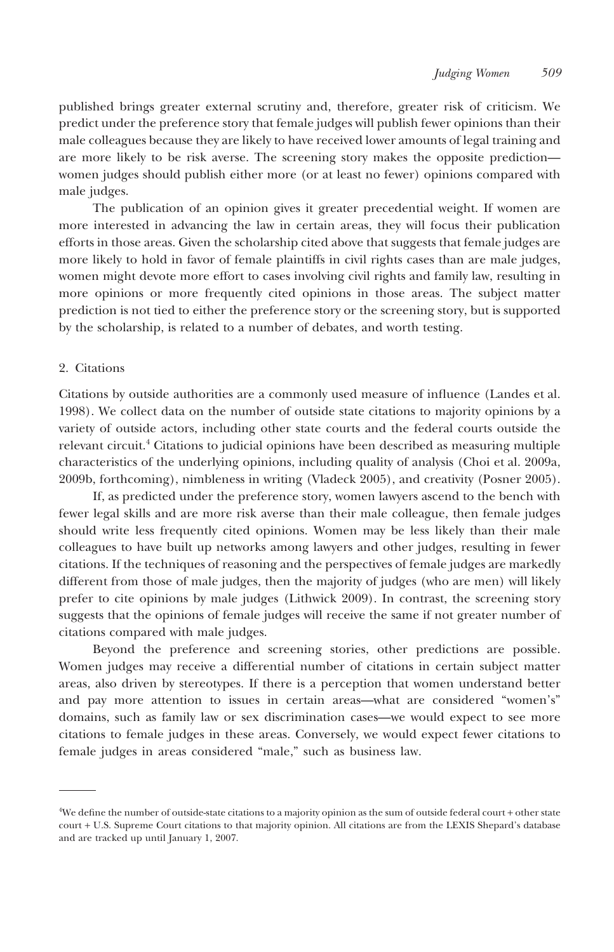published brings greater external scrutiny and, therefore, greater risk of criticism. We predict under the preference story that female judges will publish fewer opinions than their male colleagues because they are likely to have received lower amounts of legal training and are more likely to be risk averse. The screening story makes the opposite prediction women judges should publish either more (or at least no fewer) opinions compared with male judges.

The publication of an opinion gives it greater precedential weight. If women are more interested in advancing the law in certain areas, they will focus their publication efforts in those areas. Given the scholarship cited above that suggests that female judges are more likely to hold in favor of female plaintiffs in civil rights cases than are male judges, women might devote more effort to cases involving civil rights and family law, resulting in more opinions or more frequently cited opinions in those areas. The subject matter prediction is not tied to either the preference story or the screening story, but is supported by the scholarship, is related to a number of debates, and worth testing.

#### 2. Citations

Citations by outside authorities are a commonly used measure of influence (Landes et al. 1998). We collect data on the number of outside state citations to majority opinions by a variety of outside actors, including other state courts and the federal courts outside the relevant circuit.4 Citations to judicial opinions have been described as measuring multiple characteristics of the underlying opinions, including quality of analysis (Choi et al. 2009a, 2009b, forthcoming), nimbleness in writing (Vladeck 2005), and creativity (Posner 2005).

If, as predicted under the preference story, women lawyers ascend to the bench with fewer legal skills and are more risk averse than their male colleague, then female judges should write less frequently cited opinions. Women may be less likely than their male colleagues to have built up networks among lawyers and other judges, resulting in fewer citations. If the techniques of reasoning and the perspectives of female judges are markedly different from those of male judges, then the majority of judges (who are men) will likely prefer to cite opinions by male judges (Lithwick 2009). In contrast, the screening story suggests that the opinions of female judges will receive the same if not greater number of citations compared with male judges.

Beyond the preference and screening stories, other predictions are possible. Women judges may receive a differential number of citations in certain subject matter areas, also driven by stereotypes. If there is a perception that women understand better and pay more attention to issues in certain areas—what are considered "women's" domains, such as family law or sex discrimination cases—we would expect to see more citations to female judges in these areas. Conversely, we would expect fewer citations to female judges in areas considered "male," such as business law.

<sup>4</sup> We define the number of outside-state citations to a majority opinion as the sum of outside federal court + other state court + U.S. Supreme Court citations to that majority opinion. All citations are from the LEXIS Shepard's database and are tracked up until January 1, 2007.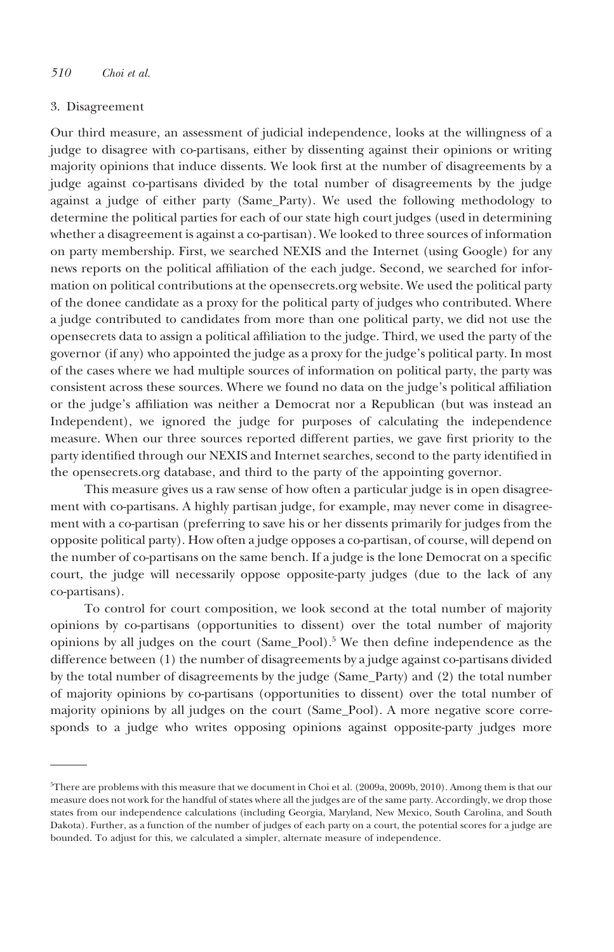#### 3. Disagreement

Our third measure, an assessment of judicial independence, looks at the willingness of a judge to disagree with co-partisans, either by dissenting against their opinions or writing majority opinions that induce dissents. We look first at the number of disagreements by a judge against co-partisans divided by the total number of disagreements by the judge against a judge of either party (Same\_Party). We used the following methodology to determine the political parties for each of our state high court judges (used in determining whether a disagreement is against a co-partisan). We looked to three sources of information on party membership. First, we searched NEXIS and the Internet (using Google) for any news reports on the political affiliation of the each judge. Second, we searched for information on political contributions at the opensecrets.org website. We used the political party of the donee candidate as a proxy for the political party of judges who contributed. Where a judge contributed to candidates from more than one political party, we did not use the opensecrets data to assign a political affiliation to the judge. Third, we used the party of the governor (if any) who appointed the judge as a proxy for the judge's political party. In most of the cases where we had multiple sources of information on political party, the party was consistent across these sources. Where we found no data on the judge's political affiliation or the judge's affiliation was neither a Democrat nor a Republican (but was instead an Independent), we ignored the judge for purposes of calculating the independence measure. When our three sources reported different parties, we gave first priority to the party identified through our NEXIS and Internet searches, second to the party identified in the opensecrets.org database, and third to the party of the appointing governor.

This measure gives us a raw sense of how often a particular judge is in open disagreement with co-partisans. A highly partisan judge, for example, may never come in disagreement with a co-partisan (preferring to save his or her dissents primarily for judges from the opposite political party). How often a judge opposes a co-partisan, of course, will depend on the number of co-partisans on the same bench. If a judge is the lone Democrat on a specific court, the judge will necessarily oppose opposite-party judges (due to the lack of any co-partisans).

To control for court composition, we look second at the total number of majority opinions by co-partisans (opportunities to dissent) over the total number of majority opinions by all judges on the court  $(Same\_Pool)$ .<sup>5</sup> We then define independence as the difference between (1) the number of disagreements by a judge against co-partisans divided by the total number of disagreements by the judge (Same\_Party) and (2) the total number of majority opinions by co-partisans (opportunities to dissent) over the total number of majority opinions by all judges on the court (Same\_Pool). A more negative score corresponds to a judge who writes opposing opinions against opposite-party judges more

<sup>5</sup> There are problems with this measure that we document in Choi et al. (2009a, 2009b, 2010). Among them is that our measure does not work for the handful of states where all the judges are of the same party. Accordingly, we drop those states from our independence calculations (including Georgia, Maryland, New Mexico, South Carolina, and South Dakota). Further, as a function of the number of judges of each party on a court, the potential scores for a judge are bounded. To adjust for this, we calculated a simpler, alternate measure of independence.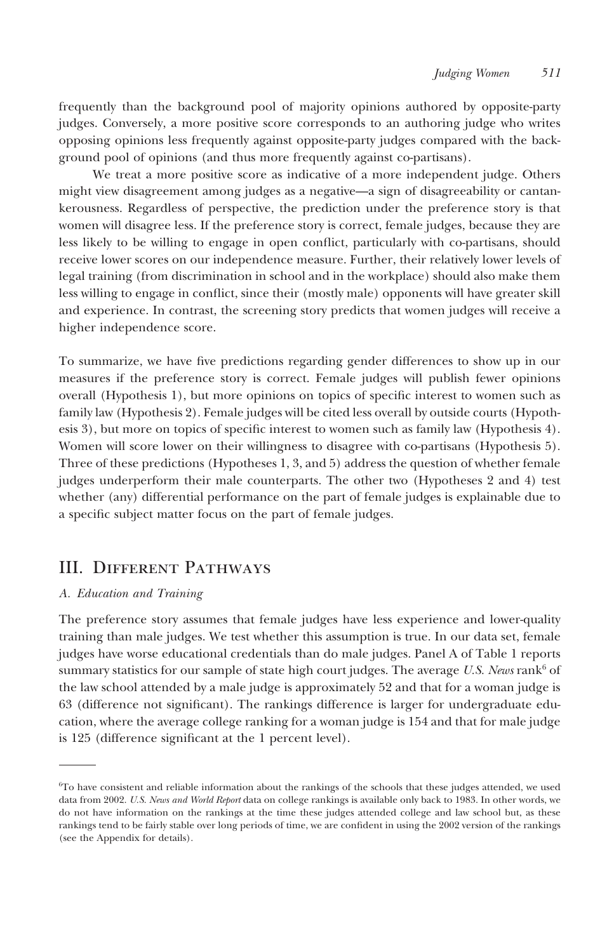frequently than the background pool of majority opinions authored by opposite-party judges. Conversely, a more positive score corresponds to an authoring judge who writes opposing opinions less frequently against opposite-party judges compared with the background pool of opinions (and thus more frequently against co-partisans).

We treat a more positive score as indicative of a more independent judge. Others might view disagreement among judges as a negative—a sign of disagreeability or cantankerousness. Regardless of perspective, the prediction under the preference story is that women will disagree less. If the preference story is correct, female judges, because they are less likely to be willing to engage in open conflict, particularly with co-partisans, should receive lower scores on our independence measure. Further, their relatively lower levels of legal training (from discrimination in school and in the workplace) should also make them less willing to engage in conflict, since their (mostly male) opponents will have greater skill and experience. In contrast, the screening story predicts that women judges will receive a higher independence score.

To summarize, we have five predictions regarding gender differences to show up in our measures if the preference story is correct. Female judges will publish fewer opinions overall (Hypothesis 1), but more opinions on topics of specific interest to women such as family law (Hypothesis 2). Female judges will be cited less overall by outside courts (Hypothesis 3), but more on topics of specific interest to women such as family law (Hypothesis 4). Women will score lower on their willingness to disagree with co-partisans (Hypothesis 5). Three of these predictions (Hypotheses 1, 3, and 5) address the question of whether female judges underperform their male counterparts. The other two (Hypotheses 2 and 4) test whether (any) differential performance on the part of female judges is explainable due to a specific subject matter focus on the part of female judges.

# III. Different Pathways

#### *A. Education and Training*

The preference story assumes that female judges have less experience and lower-quality training than male judges. We test whether this assumption is true. In our data set, female judges have worse educational credentials than do male judges. Panel A of Table 1 reports summary statistics for our sample of state high court judges. The average *U.S. News* rank<sup>6</sup> of the law school attended by a male judge is approximately 52 and that for a woman judge is 63 (difference not significant). The rankings difference is larger for undergraduate education, where the average college ranking for a woman judge is 154 and that for male judge is 125 (difference significant at the 1 percent level).

<sup>6</sup> To have consistent and reliable information about the rankings of the schools that these judges attended, we used data from 2002. *U.S. News and World Report* data on college rankings is available only back to 1983. In other words, we do not have information on the rankings at the time these judges attended college and law school but, as these rankings tend to be fairly stable over long periods of time, we are confident in using the 2002 version of the rankings (see the Appendix for details).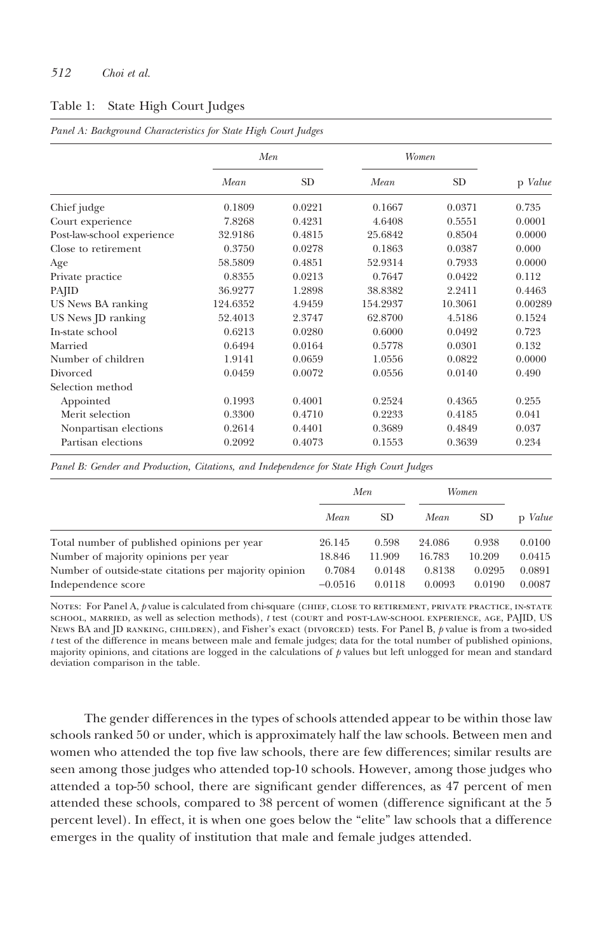#### Table 1: State High Court Judges

*Panel A: Background Characteristics for State High Court Judges*

|                            | Men      |        | <b>Women</b> |           |         |
|----------------------------|----------|--------|--------------|-----------|---------|
|                            | Mean     | SD.    | Mean         | <b>SD</b> | p Value |
| Chief judge                | 0.1809   | 0.0221 | 0.1667       | 0.0371    | 0.735   |
| Court experience           | 7.8268   | 0.4231 | 4.6408       | 0.5551    | 0.0001  |
| Post-law-school experience | 32.9186  | 0.4815 | 25.6842      | 0.8504    | 0.0000  |
| Close to retirement        | 0.3750   | 0.0278 | 0.1863       | 0.0387    | 0.000   |
| Age                        | 58.5809  | 0.4851 | 52.9314      | 0.7933    | 0.0000  |
| Private practice           | 0.8355   | 0.0213 | 0.7647       | 0.0422    | 0.112   |
| PAJID                      | 36.9277  | 1.2898 | 38.8382      | 2.2411    | 0.4463  |
| US News BA ranking         | 124.6352 | 4.9459 | 154.2937     | 10.3061   | 0.00289 |
| US News JD ranking         | 52.4013  | 2.3747 | 62.8700      | 4.5186    | 0.1524  |
| In-state school            | 0.6213   | 0.0280 | 0.6000       | 0.0492    | 0.723   |
| Married                    | 0.6494   | 0.0164 | 0.5778       | 0.0301    | 0.132   |
| Number of children         | 1.9141   | 0.0659 | 1.0556       | 0.0822    | 0.0000  |
| Divorced                   | 0.0459   | 0.0072 | 0.0556       | 0.0140    | 0.490   |
| Selection method           |          |        |              |           |         |
| Appointed                  | 0.1993   | 0.4001 | 0.2524       | 0.4365    | 0.255   |
| Merit selection            | 0.3300   | 0.4710 | 0.2233       | 0.4185    | 0.041   |
| Nonpartisan elections      | 0.2614   | 0.4401 | 0.3689       | 0.4849    | 0.037   |
| Partisan elections         | 0.2092   | 0.4073 | 0.1553       | 0.3639    | 0.234   |

*Panel B: Gender and Production, Citations, and Independence for State High Court Judges*

|                                                                              | Men                 |                  | <i>Women</i>     |                  |                  |
|------------------------------------------------------------------------------|---------------------|------------------|------------------|------------------|------------------|
|                                                                              | Mean                | <b>SD</b>        | Mean             | <b>SD</b>        | p Value          |
| Total number of published opinions per year                                  | 26.145              | 0.598            | 24.086           | 0.938            | 0.0100           |
| Number of majority opinions per year                                         | 18.846              | 11.909           | 16.783           | 10.209           | 0.0415           |
| Number of outside-state citations per majority opinion<br>Independence score | 0.7084<br>$-0.0516$ | 0.0148<br>0.0118 | 0.8138<br>0.0093 | 0.0295<br>0.0190 | 0.0891<br>0.0087 |

NOTES: For Panel A, *p* value is calculated from chi-square (CHIEF, CLOSE TO RETIREMENT, PRIVATE PRACTICE, IN-STATE school, married, as well as selection methods), *t* test (court and post-law-school experience, age, PAJID, US News BA and JD RANKING, CHILDREN), and Fisher's exact (DIVORCED) tests. For Panel B, *p* value is from a two-sided *t* test of the difference in means between male and female judges; data for the total number of published opinions, majority opinions, and citations are logged in the calculations of *p* values but left unlogged for mean and standard deviation comparison in the table.

The gender differences in the types of schools attended appear to be within those law schools ranked 50 or under, which is approximately half the law schools. Between men and women who attended the top five law schools, there are few differences; similar results are seen among those judges who attended top-10 schools. However, among those judges who attended a top-50 school, there are significant gender differences, as 47 percent of men attended these schools, compared to 38 percent of women (difference significant at the 5 percent level). In effect, it is when one goes below the "elite" law schools that a difference emerges in the quality of institution that male and female judges attended.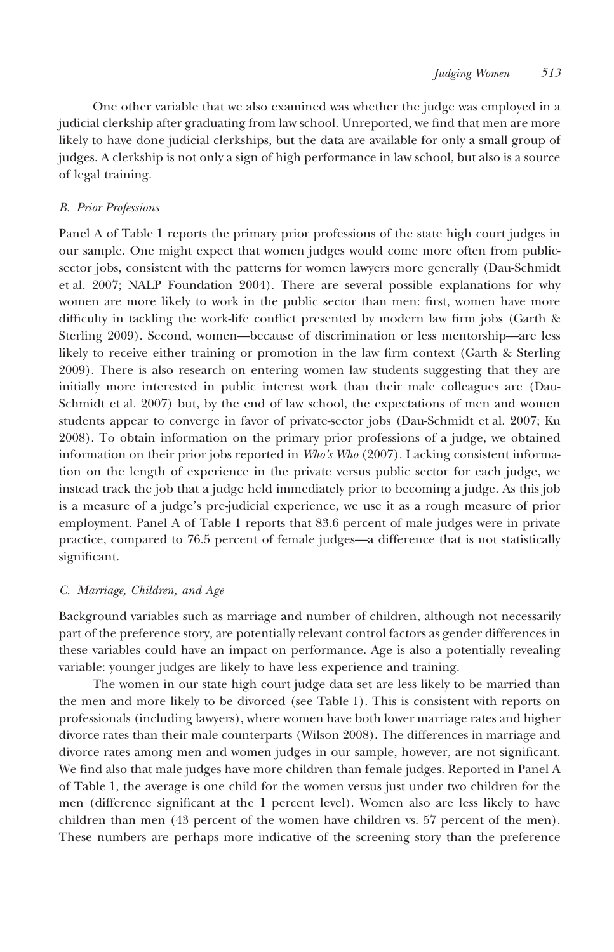One other variable that we also examined was whether the judge was employed in a judicial clerkship after graduating from law school. Unreported, we find that men are more likely to have done judicial clerkships, but the data are available for only a small group of judges. A clerkship is not only a sign of high performance in law school, but also is a source of legal training.

#### *B. Prior Professions*

Panel A of Table 1 reports the primary prior professions of the state high court judges in our sample. One might expect that women judges would come more often from publicsector jobs, consistent with the patterns for women lawyers more generally (Dau-Schmidt et al. 2007; NALP Foundation 2004). There are several possible explanations for why women are more likely to work in the public sector than men: first, women have more difficulty in tackling the work-life conflict presented by modern law firm jobs (Garth & Sterling 2009). Second, women—because of discrimination or less mentorship—are less likely to receive either training or promotion in the law firm context (Garth & Sterling 2009). There is also research on entering women law students suggesting that they are initially more interested in public interest work than their male colleagues are (Dau-Schmidt et al. 2007) but, by the end of law school, the expectations of men and women students appear to converge in favor of private-sector jobs (Dau-Schmidt et al. 2007; Ku 2008). To obtain information on the primary prior professions of a judge, we obtained information on their prior jobs reported in *Who's Who* (2007). Lacking consistent information on the length of experience in the private versus public sector for each judge, we instead track the job that a judge held immediately prior to becoming a judge. As this job is a measure of a judge's pre-judicial experience, we use it as a rough measure of prior employment. Panel A of Table 1 reports that 83.6 percent of male judges were in private practice, compared to 76.5 percent of female judges—a difference that is not statistically significant.

#### *C. Marriage, Children, and Age*

Background variables such as marriage and number of children, although not necessarily part of the preference story, are potentially relevant control factors as gender differences in these variables could have an impact on performance. Age is also a potentially revealing variable: younger judges are likely to have less experience and training.

The women in our state high court judge data set are less likely to be married than the men and more likely to be divorced (see Table 1). This is consistent with reports on professionals (including lawyers), where women have both lower marriage rates and higher divorce rates than their male counterparts (Wilson 2008). The differences in marriage and divorce rates among men and women judges in our sample, however, are not significant. We find also that male judges have more children than female judges. Reported in Panel A of Table 1, the average is one child for the women versus just under two children for the men (difference significant at the 1 percent level). Women also are less likely to have children than men (43 percent of the women have children vs. 57 percent of the men). These numbers are perhaps more indicative of the screening story than the preference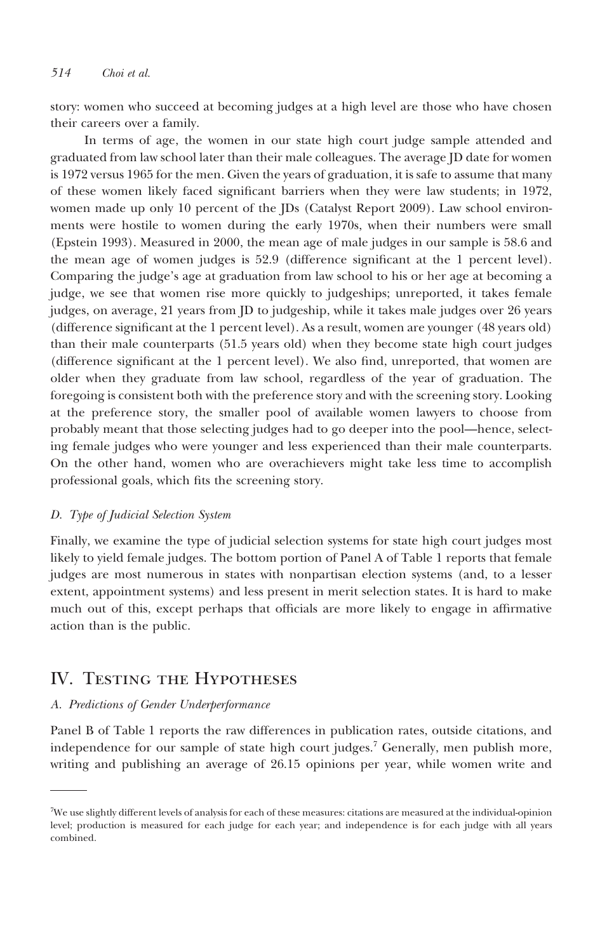story: women who succeed at becoming judges at a high level are those who have chosen their careers over a family.

In terms of age, the women in our state high court judge sample attended and graduated from law school later than their male colleagues. The average JD date for women is 1972 versus 1965 for the men. Given the years of graduation, it is safe to assume that many of these women likely faced significant barriers when they were law students; in 1972, women made up only 10 percent of the JDs (Catalyst Report 2009). Law school environments were hostile to women during the early 1970s, when their numbers were small (Epstein 1993). Measured in 2000, the mean age of male judges in our sample is 58.6 and the mean age of women judges is 52.9 (difference significant at the 1 percent level). Comparing the judge's age at graduation from law school to his or her age at becoming a judge, we see that women rise more quickly to judgeships; unreported, it takes female judges, on average, 21 years from JD to judgeship, while it takes male judges over 26 years (difference significant at the 1 percent level). As a result, women are younger (48 years old) than their male counterparts (51.5 years old) when they become state high court judges (difference significant at the 1 percent level). We also find, unreported, that women are older when they graduate from law school, regardless of the year of graduation. The foregoing is consistent both with the preference story and with the screening story. Looking at the preference story, the smaller pool of available women lawyers to choose from probably meant that those selecting judges had to go deeper into the pool—hence, selecting female judges who were younger and less experienced than their male counterparts. On the other hand, women who are overachievers might take less time to accomplish professional goals, which fits the screening story.

#### *D. Type of Judicial Selection System*

Finally, we examine the type of judicial selection systems for state high court judges most likely to yield female judges. The bottom portion of Panel A of Table 1 reports that female judges are most numerous in states with nonpartisan election systems (and, to a lesser extent, appointment systems) and less present in merit selection states. It is hard to make much out of this, except perhaps that officials are more likely to engage in affirmative action than is the public.

## IV. Testing the Hypotheses

#### *A. Predictions of Gender Underperformance*

Panel B of Table 1 reports the raw differences in publication rates, outside citations, and independence for our sample of state high court judges.7 Generally, men publish more, writing and publishing an average of 26.15 opinions per year, while women write and

<sup>7</sup> We use slightly different levels of analysis for each of these measures: citations are measured at the individual-opinion level; production is measured for each judge for each year; and independence is for each judge with all years combined.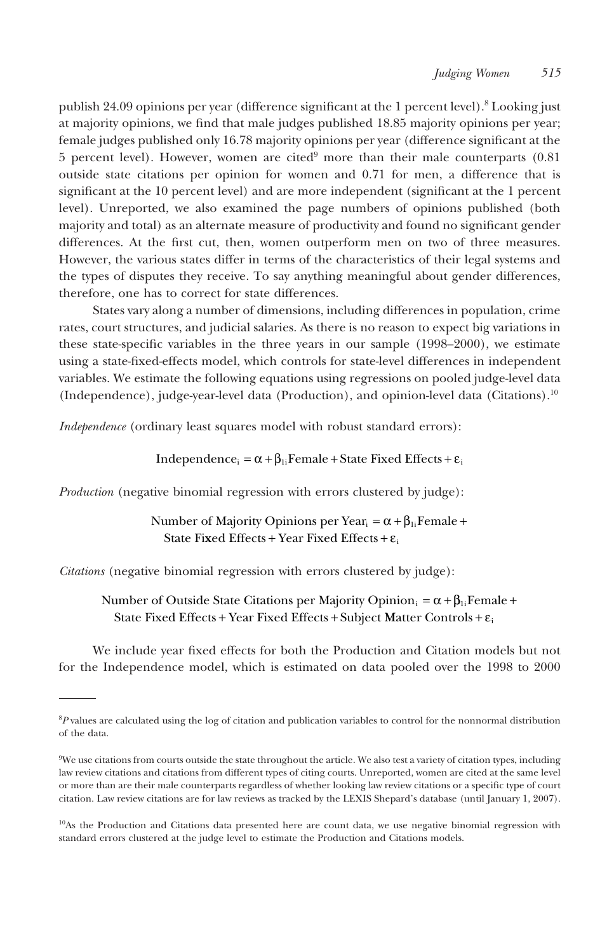publish 24.09 opinions per year (difference significant at the 1 percent level).<sup>8</sup> Looking just at majority opinions, we find that male judges published 18.85 majority opinions per year; female judges published only 16.78 majority opinions per year (difference significant at the  $5$  percent level). However, women are cited $9$  more than their male counterparts  $(0.81)$ outside state citations per opinion for women and 0.71 for men, a difference that is significant at the 10 percent level) and are more independent (significant at the 1 percent level). Unreported, we also examined the page numbers of opinions published (both majority and total) as an alternate measure of productivity and found no significant gender differences. At the first cut, then, women outperform men on two of three measures. However, the various states differ in terms of the characteristics of their legal systems and the types of disputes they receive. To say anything meaningful about gender differences, therefore, one has to correct for state differences.

States vary along a number of dimensions, including differences in population, crime rates, court structures, and judicial salaries. As there is no reason to expect big variations in these state-specific variables in the three years in our sample (1998–2000), we estimate using a state-fixed-effects model, which controls for state-level differences in independent variables. We estimate the following equations using regressions on pooled judge-level data (Independence), judge-year-level data (Production), and opinion-level data (Citations).10

*Independence* (ordinary least squares model with robust standard errors):

Independence =  $\alpha + \beta_{1i}$  Female + State Fixed Effects +  $\varepsilon_i$ 

*Production* (negative binomial regression with errors clustered by judge):

Number of Majority Opinions per Year $_i = \alpha + \beta_{1i}$ Female + State Fixed Effects + Year Fixed Effects +  $\varepsilon_i$ 

*Citations* (negative binomial regression with errors clustered by judge):

## Number of Outside State Citations per Majority Opinion $_{\rm i}$  =  $\alpha$  +  $\beta_{\rm li}$ Female + State Fixed Effects + Year Fixed Effects + Subject Matter Controls +  $\varepsilon_{\rm i}$

We include year fixed effects for both the Production and Citation models but not for the Independence model, which is estimated on data pooled over the 1998 to 2000

<sup>8</sup> *P* values are calculated using the log of citation and publication variables to control for the nonnormal distribution of the data.

<sup>9</sup> We use citations from courts outside the state throughout the article. We also test a variety of citation types, including law review citations and citations from different types of citing courts. Unreported, women are cited at the same level or more than are their male counterparts regardless of whether looking law review citations or a specific type of court citation. Law review citations are for law reviews as tracked by the LEXIS Shepard's database (until January 1, 2007).

 $10$ As the Production and Citations data presented here are count data, we use negative binomial regression with standard errors clustered at the judge level to estimate the Production and Citations models.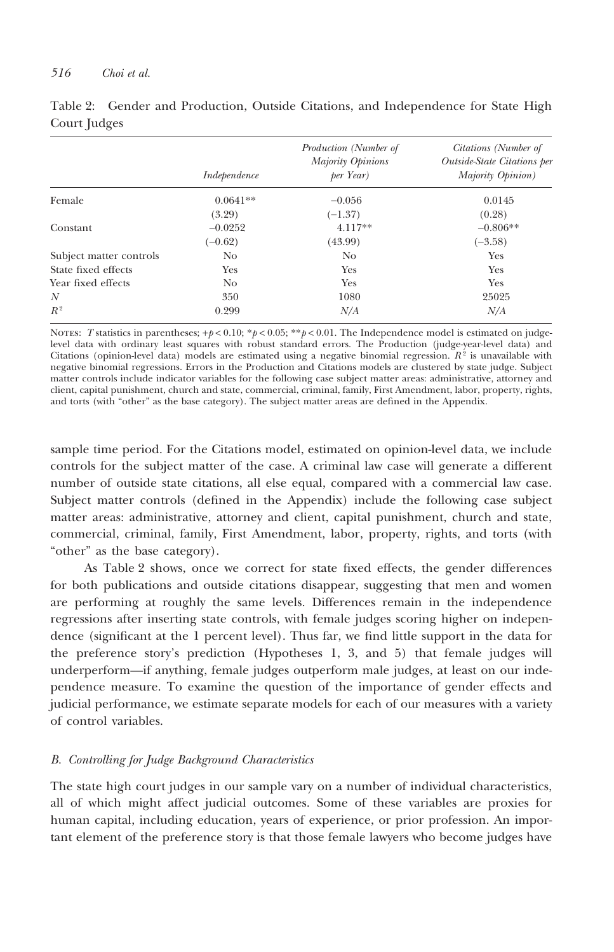|                         |                | Production (Number of<br>Majority Opinions | Citations (Number of<br>Outside-State Citations per |
|-------------------------|----------------|--------------------------------------------|-----------------------------------------------------|
|                         | Independence   | per Year)                                  | Majority Opinion)                                   |
| Female                  | $0.0641**$     | $-0.056$                                   | 0.0145                                              |
|                         | (3.29)         | $(-1.37)$                                  | (0.28)                                              |
| Constant                | $-0.0252$      | $4.117**$                                  | $-0.806**$                                          |
|                         | $(-0.62)$      | (43.99)                                    | $(-3.58)$                                           |
| Subject matter controls | N <sub>o</sub> | N <sub>o</sub>                             | Yes                                                 |
| State fixed effects     | Yes            | Yes                                        | Yes                                                 |
| Year fixed effects      | N <sub>o</sub> | Yes                                        | Yes                                                 |
| $\boldsymbol{N}$        | 350            | 1080                                       | 25025                                               |
| $R^2$                   | 0.299          | N/A                                        | N/A                                                 |

Table 2: Gender and Production, Outside Citations, and Independence for State High Court Judges

NOTES: *T* statistics in parentheses;  $+p < 0.10$ ;  $\frac{p}{p} < 0.05$ ;  $\frac{p}{p} < 0.01$ . The Independence model is estimated on judgelevel data with ordinary least squares with robust standard errors. The Production (judge-year-level data) and Citations (opinion-level data) models are estimated using a negative binomial regression.  $R^2$  is unavailable with negative binomial regressions. Errors in the Production and Citations models are clustered by state judge. Subject matter controls include indicator variables for the following case subject matter areas: administrative, attorney and client, capital punishment, church and state, commercial, criminal, family, First Amendment, labor, property, rights, and torts (with "other" as the base category). The subject matter areas are defined in the Appendix.

sample time period. For the Citations model, estimated on opinion-level data, we include controls for the subject matter of the case. A criminal law case will generate a different number of outside state citations, all else equal, compared with a commercial law case. Subject matter controls (defined in the Appendix) include the following case subject matter areas: administrative, attorney and client, capital punishment, church and state, commercial, criminal, family, First Amendment, labor, property, rights, and torts (with "other" as the base category).

As Table 2 shows, once we correct for state fixed effects, the gender differences for both publications and outside citations disappear, suggesting that men and women are performing at roughly the same levels. Differences remain in the independence regressions after inserting state controls, with female judges scoring higher on independence (significant at the 1 percent level). Thus far, we find little support in the data for the preference story's prediction (Hypotheses 1, 3, and 5) that female judges will underperform—if anything, female judges outperform male judges, at least on our independence measure. To examine the question of the importance of gender effects and judicial performance, we estimate separate models for each of our measures with a variety of control variables.

#### *B. Controlling for Judge Background Characteristics*

The state high court judges in our sample vary on a number of individual characteristics, all of which might affect judicial outcomes. Some of these variables are proxies for human capital, including education, years of experience, or prior profession. An important element of the preference story is that those female lawyers who become judges have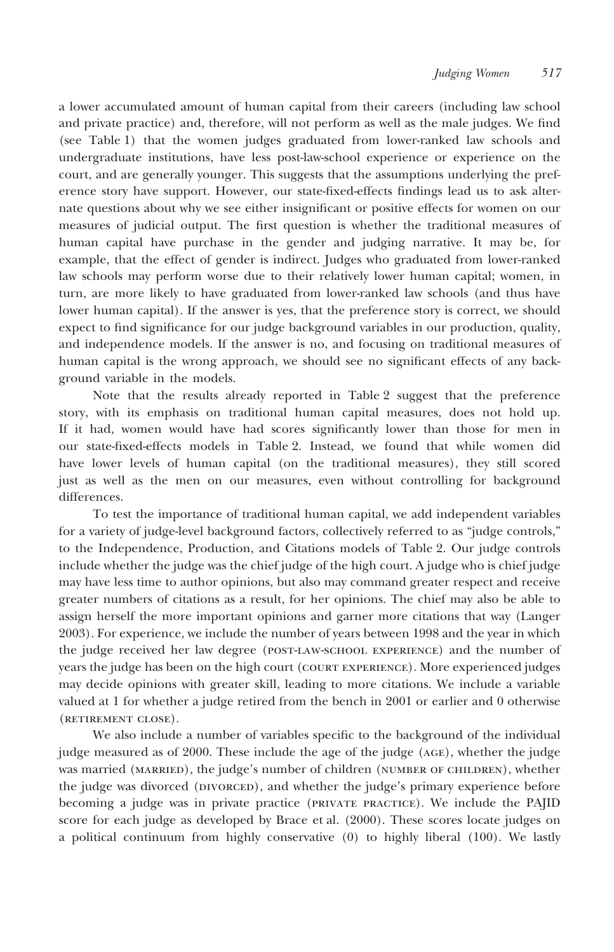a lower accumulated amount of human capital from their careers (including law school and private practice) and, therefore, will not perform as well as the male judges. We find (see Table 1) that the women judges graduated from lower-ranked law schools and undergraduate institutions, have less post-law-school experience or experience on the court, and are generally younger. This suggests that the assumptions underlying the preference story have support. However, our state-fixed-effects findings lead us to ask alternate questions about why we see either insignificant or positive effects for women on our measures of judicial output. The first question is whether the traditional measures of human capital have purchase in the gender and judging narrative. It may be, for example, that the effect of gender is indirect. Judges who graduated from lower-ranked law schools may perform worse due to their relatively lower human capital; women, in turn, are more likely to have graduated from lower-ranked law schools (and thus have lower human capital). If the answer is yes, that the preference story is correct, we should expect to find significance for our judge background variables in our production, quality, and independence models. If the answer is no, and focusing on traditional measures of human capital is the wrong approach, we should see no significant effects of any background variable in the models.

Note that the results already reported in Table 2 suggest that the preference story, with its emphasis on traditional human capital measures, does not hold up. If it had, women would have had scores significantly lower than those for men in our state-fixed-effects models in Table 2. Instead, we found that while women did have lower levels of human capital (on the traditional measures), they still scored just as well as the men on our measures, even without controlling for background differences.

To test the importance of traditional human capital, we add independent variables for a variety of judge-level background factors, collectively referred to as "judge controls," to the Independence, Production, and Citations models of Table 2. Our judge controls include whether the judge was the chief judge of the high court. A judge who is chief judge may have less time to author opinions, but also may command greater respect and receive greater numbers of citations as a result, for her opinions. The chief may also be able to assign herself the more important opinions and garner more citations that way (Langer 2003). For experience, we include the number of years between 1998 and the year in which the judge received her law degree (post-law-school experience) and the number of years the judge has been on the high court (COURT EXPERIENCE). More experienced judges may decide opinions with greater skill, leading to more citations. We include a variable valued at 1 for whether a judge retired from the bench in 2001 or earlier and 0 otherwise (retirement close).

We also include a number of variables specific to the background of the individual judge measured as of 2000. These include the age of the judge (age), whether the judge was married (married), the judge's number of children (number of children), whether the judge was divorced (DIVORCED), and whether the judge's primary experience before becoming a judge was in private practice (private practice). We include the PAJID score for each judge as developed by Brace et al. (2000). These scores locate judges on a political continuum from highly conservative (0) to highly liberal (100). We lastly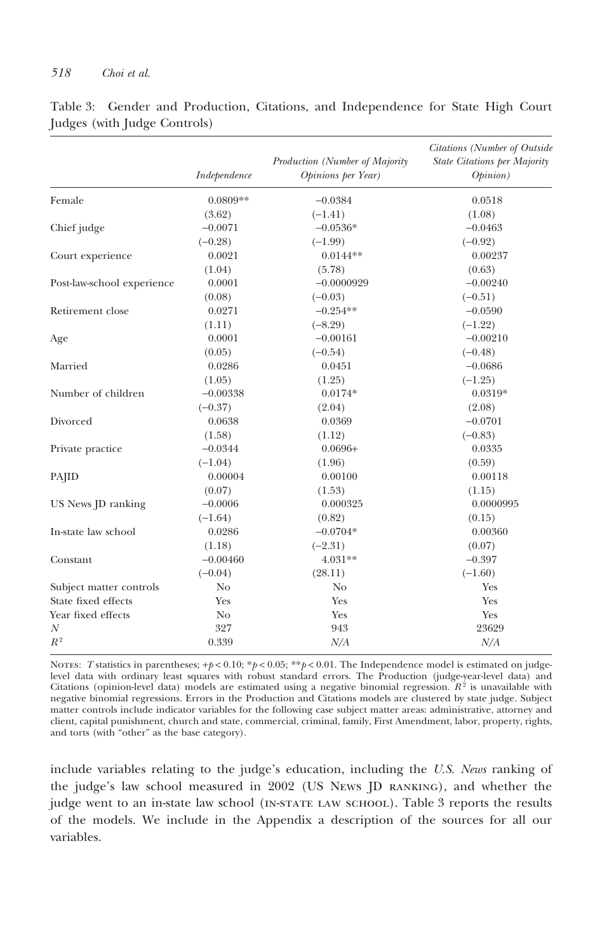|                            | Independence   | Production (Number of Majority<br>Opinions per Year) | Citations (Number of Outside<br>State Citations per Majority<br>Option) |
|----------------------------|----------------|------------------------------------------------------|-------------------------------------------------------------------------|
| Female                     | $0.0809**$     | $-0.0384$                                            | 0.0518                                                                  |
|                            | (3.62)         | $(-1.41)$                                            | (1.08)                                                                  |
| Chief judge                | $-0.0071$      | $-0.0536*$                                           | $-0.0463$                                                               |
|                            | $(-0.28)$      | $(-1.99)$                                            | $(-0.92)$                                                               |
| Court experience           | 0.0021         | $0.0144**$                                           | 0.00237                                                                 |
|                            | (1.04)         | (5.78)                                               | (0.63)                                                                  |
| Post-law-school experience | 0.0001         | $-0.0000929$                                         | $-0.00240$                                                              |
|                            | (0.08)         | $(-0.03)$                                            | $(-0.51)$                                                               |
| Retirement close           | 0.0271         | $-0.254**$                                           | $-0.0590$                                                               |
|                            | (1.11)         | $(-8.29)$                                            | $(-1.22)$                                                               |
| Age                        | 0.0001         | $-0.00161$                                           | $-0.00210$                                                              |
|                            | (0.05)         | $(-0.54)$                                            | $(-0.48)$                                                               |
| Married                    | 0.0286         | 0.0451                                               | $-0.0686$                                                               |
|                            | (1.05)         | (1.25)                                               | $(-1.25)$                                                               |
| Number of children         | $-0.00338$     | $0.0174*$                                            | $0.0319*$                                                               |
|                            | $(-0.37)$      | (2.04)                                               | (2.08)                                                                  |
| Divorced                   | 0.0638         | 0.0369                                               | $-0.0701$                                                               |
|                            | (1.58)         | (1.12)                                               | $(-0.83)$                                                               |
| Private practice           | $-0.0344$      | $0.0696+$                                            | 0.0335                                                                  |
|                            | $(-1.04)$      | (1.96)                                               | (0.59)                                                                  |
| PAJID                      | 0.00004        | 0.00100                                              | 0.00118                                                                 |
|                            | (0.07)         | (1.53)                                               | (1.15)                                                                  |
| US News JD ranking         | $-0.0006$      | 0.000325                                             | 0.0000995                                                               |
|                            | $(-1.64)$      | (0.82)                                               | (0.15)                                                                  |
| In-state law school        | 0.0286         | $-0.0704*$                                           | 0.00360                                                                 |
|                            | (1.18)         | $(-2.31)$                                            | (0.07)                                                                  |
| Constant                   | $-0.00460$     | $4.031**$                                            | $-0.397$                                                                |
|                            | $(-0.04)$      | (28.11)                                              | $(-1.60)$                                                               |
| Subject matter controls    | N <sub>o</sub> | N <sub>o</sub>                                       | Yes                                                                     |
| State fixed effects        | Yes            | Yes                                                  | Yes                                                                     |
| Year fixed effects         | No             | Yes                                                  | Yes                                                                     |
| N                          | 327            | 943                                                  | 23629                                                                   |
| $R^2$                      | 0.339          | N/A                                                  | N/A                                                                     |

Table 3: Gender and Production, Citations, and Independence for State High Court Judges (with Judge Controls)

NOTES: *T* statistics in parentheses;  $+p < 0.10$ ; \* $p < 0.05$ ; \*\* $p < 0.01$ . The Independence model is estimated on judgelevel data with ordinary least squares with robust standard errors. The Production (judge-year-level data) and Citations (opinion-level data) models are estimated using a negative binomial regression.  $R<sup>2</sup>$  is unavailable with negative binomial regressions. Errors in the Production and Citations models are clustered by state judge. Subject matter controls include indicator variables for the following case subject matter areas: administrative, attorney and client, capital punishment, church and state, commercial, criminal, family, First Amendment, labor, property, rights, and torts (with "other" as the base category).

include variables relating to the judge's education, including the *U.S. News* ranking of the judge's law school measured in 2002 (US News JD ranking), and whether the judge went to an in-state law school (in-state law school). Table 3 reports the results of the models. We include in the Appendix a description of the sources for all our variables.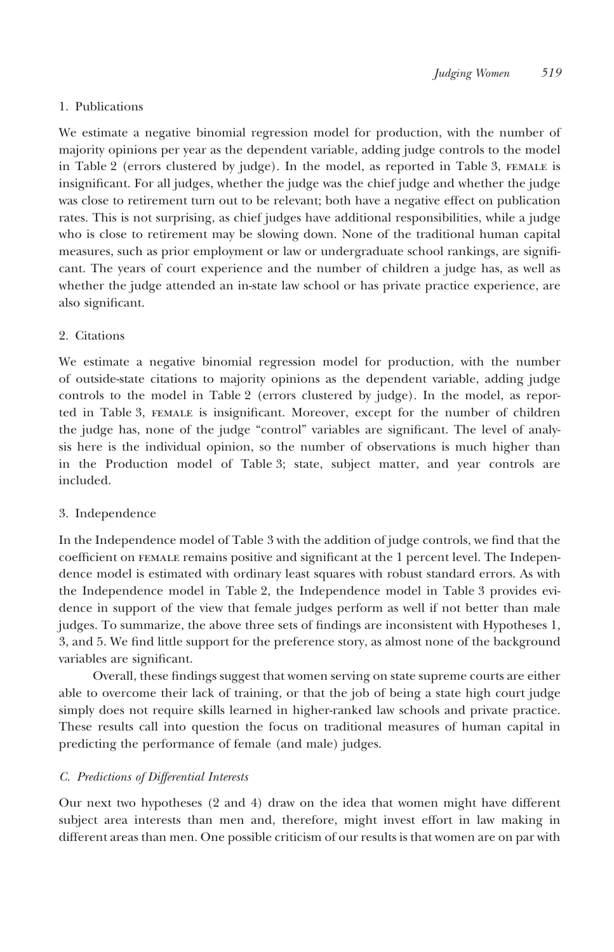#### 1. Publications

We estimate a negative binomial regression model for production, with the number of majority opinions per year as the dependent variable, adding judge controls to the model in Table 2 (errors clustered by judge). In the model, as reported in Table 3, FEMALE is insignificant. For all judges, whether the judge was the chief judge and whether the judge was close to retirement turn out to be relevant; both have a negative effect on publication rates. This is not surprising, as chief judges have additional responsibilities, while a judge who is close to retirement may be slowing down. None of the traditional human capital measures, such as prior employment or law or undergraduate school rankings, are significant. The years of court experience and the number of children a judge has, as well as whether the judge attended an in-state law school or has private practice experience, are also significant.

#### 2. Citations

We estimate a negative binomial regression model for production, with the number of outside-state citations to majority opinions as the dependent variable, adding judge controls to the model in Table 2 (errors clustered by judge). In the model, as reported in Table 3, female is insignificant. Moreover, except for the number of children the judge has, none of the judge "control" variables are significant. The level of analysis here is the individual opinion, so the number of observations is much higher than in the Production model of Table 3; state, subject matter, and year controls are included.

#### 3. Independence

In the Independence model of Table 3 with the addition of judge controls, we find that the coefficient on female remains positive and significant at the 1 percent level. The Independence model is estimated with ordinary least squares with robust standard errors. As with the Independence model in Table 2, the Independence model in Table 3 provides evidence in support of the view that female judges perform as well if not better than male judges. To summarize, the above three sets of findings are inconsistent with Hypotheses 1, 3, and 5. We find little support for the preference story, as almost none of the background variables are significant.

Overall, these findings suggest that women serving on state supreme courts are either able to overcome their lack of training, or that the job of being a state high court judge simply does not require skills learned in higher-ranked law schools and private practice. These results call into question the focus on traditional measures of human capital in predicting the performance of female (and male) judges.

#### *C. Predictions of Differential Interests*

Our next two hypotheses (2 and 4) draw on the idea that women might have different subject area interests than men and, therefore, might invest effort in law making in different areas than men. One possible criticism of our results is that women are on par with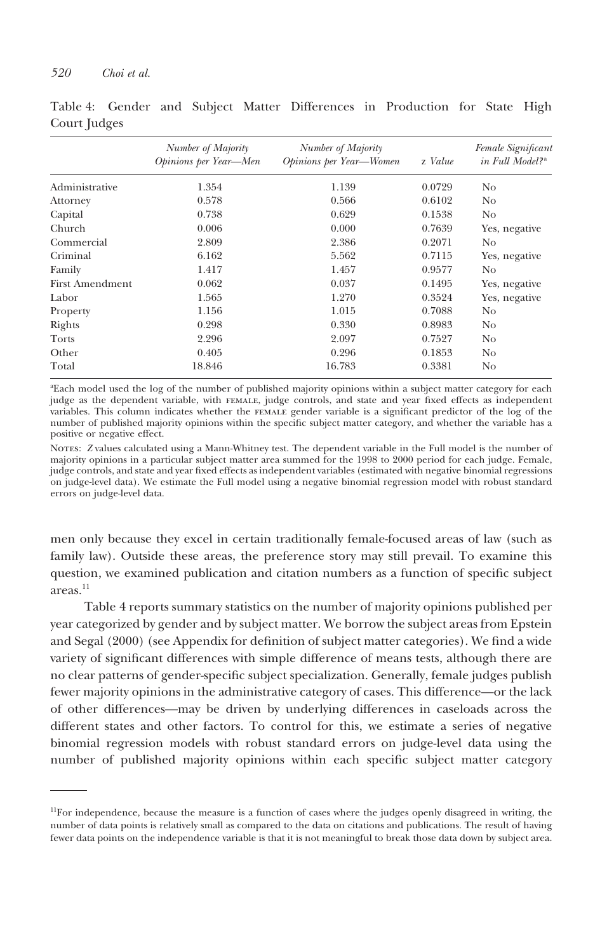|                        | Number of Majority    | Number of Majority      |         | Female Significant          |
|------------------------|-----------------------|-------------------------|---------|-----------------------------|
|                        | Opinions per Year-Men | Opinions per Year—Women | z Value | in Full Model? <sup>2</sup> |
| Administrative         | 1.354                 | 1.139                   | 0.0729  | N <sub>o</sub>              |
| Attorney               | 0.578                 | 0.566                   | 0.6102  | N <sub>o</sub>              |
| Capital                | 0.738                 | 0.629                   | 0.1538  | N <sub>o</sub>              |
| Church                 | 0.006                 | 0.000                   | 0.7639  | Yes, negative               |
| Commercial             | 2.809                 | 2.386                   | 0.2071  | N <sub>o</sub>              |
| Criminal               | 6.162                 | 5.562                   | 0.7115  | Yes, negative               |
| Family                 | 1.417                 | 1.457                   | 0.9577  | No                          |
| <b>First Amendment</b> | 0.062                 | 0.037                   | 0.1495  | Yes, negative               |
| Labor                  | 1.565                 | 1.270                   | 0.3524  | Yes, negative               |
| Property               | 1.156                 | 1.015                   | 0.7088  | No                          |
| Rights                 | 0.298                 | 0.330                   | 0.8983  | No                          |
| Torts                  | 2.296                 | 2.097                   | 0.7527  | No.                         |
| Other                  | 0.405                 | 0.296                   | 0.1853  | No.                         |
| Total                  | 18.846                | 16.783                  | 0.3381  | N <sub>o</sub>              |

Table 4: Gender and Subject Matter Differences in Production for State High Court Judges

a Each model used the log of the number of published majority opinions within a subject matter category for each judge as the dependent variable, with female, judge controls, and state and year fixed effects as independent variables. This column indicates whether the female gender variable is a significant predictor of the log of the number of published majority opinions within the specific subject matter category, and whether the variable has a positive or negative effect.

NOTES: *Z* values calculated using a Mann-Whitney test. The dependent variable in the Full model is the number of majority opinions in a particular subject matter area summed for the 1998 to 2000 period for each judge. Female, judge controls, and state and year fixed effects as independent variables (estimated with negative binomial regressions on judge-level data). We estimate the Full model using a negative binomial regression model with robust standard errors on judge-level data.

men only because they excel in certain traditionally female-focused areas of law (such as family law). Outside these areas, the preference story may still prevail. To examine this question, we examined publication and citation numbers as a function of specific subject  $\arccos.$ <br/> $^{11}$ 

Table 4 reports summary statistics on the number of majority opinions published per year categorized by gender and by subject matter. We borrow the subject areas from Epstein and Segal (2000) (see Appendix for definition of subject matter categories). We find a wide variety of significant differences with simple difference of means tests, although there are no clear patterns of gender-specific subject specialization. Generally, female judges publish fewer majority opinions in the administrative category of cases. This difference—or the lack of other differences—may be driven by underlying differences in caseloads across the different states and other factors. To control for this, we estimate a series of negative binomial regression models with robust standard errors on judge-level data using the number of published majority opinions within each specific subject matter category

 $<sup>11</sup>$ For independence, because the measure is a function of cases where the judges openly disagreed in writing, the</sup> number of data points is relatively small as compared to the data on citations and publications. The result of having fewer data points on the independence variable is that it is not meaningful to break those data down by subject area.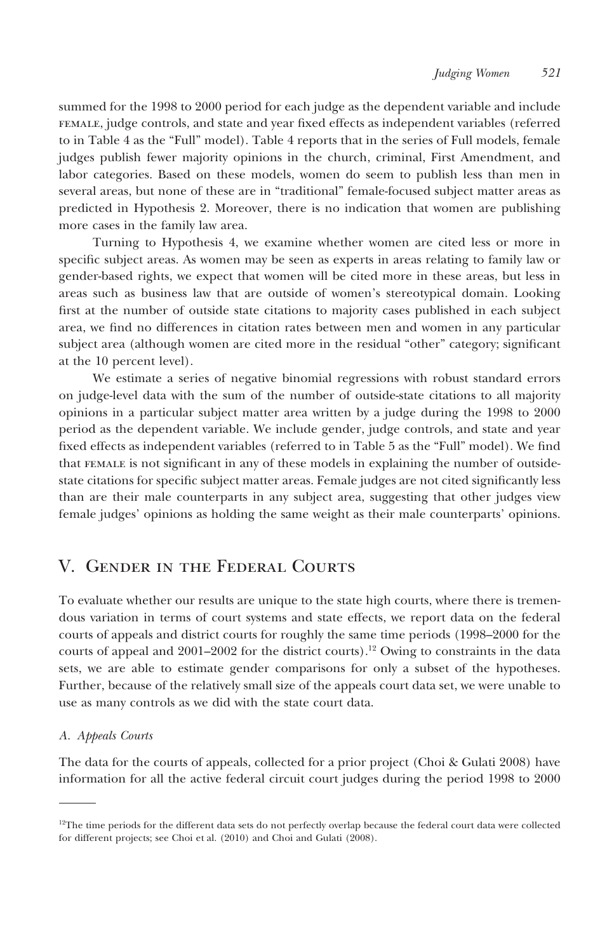summed for the 1998 to 2000 period for each judge as the dependent variable and include female, judge controls, and state and year fixed effects as independent variables (referred to in Table 4 as the "Full" model). Table 4 reports that in the series of Full models, female judges publish fewer majority opinions in the church, criminal, First Amendment, and labor categories. Based on these models, women do seem to publish less than men in several areas, but none of these are in "traditional" female-focused subject matter areas as predicted in Hypothesis 2. Moreover, there is no indication that women are publishing more cases in the family law area.

Turning to Hypothesis 4, we examine whether women are cited less or more in specific subject areas. As women may be seen as experts in areas relating to family law or gender-based rights, we expect that women will be cited more in these areas, but less in areas such as business law that are outside of women's stereotypical domain. Looking first at the number of outside state citations to majority cases published in each subject area, we find no differences in citation rates between men and women in any particular subject area (although women are cited more in the residual "other" category; significant at the 10 percent level).

We estimate a series of negative binomial regressions with robust standard errors on judge-level data with the sum of the number of outside-state citations to all majority opinions in a particular subject matter area written by a judge during the 1998 to 2000 period as the dependent variable. We include gender, judge controls, and state and year fixed effects as independent variables (referred to in Table 5 as the "Full" model). We find that female is not significant in any of these models in explaining the number of outsidestate citations for specific subject matter areas. Female judges are not cited significantly less than are their male counterparts in any subject area, suggesting that other judges view female judges' opinions as holding the same weight as their male counterparts' opinions.

# V. Gender in the Federal Courts

To evaluate whether our results are unique to the state high courts, where there is tremendous variation in terms of court systems and state effects, we report data on the federal courts of appeals and district courts for roughly the same time periods (1998–2000 for the courts of appeal and  $2001-2002$  for the district courts).<sup>12</sup> Owing to constraints in the data sets, we are able to estimate gender comparisons for only a subset of the hypotheses. Further, because of the relatively small size of the appeals court data set, we were unable to use as many controls as we did with the state court data.

### *A. Appeals Courts*

The data for the courts of appeals, collected for a prior project (Choi & Gulati 2008) have information for all the active federal circuit court judges during the period 1998 to 2000

 $12$ The time periods for the different data sets do not perfectly overlap because the federal court data were collected for different projects; see Choi et al. (2010) and Choi and Gulati (2008).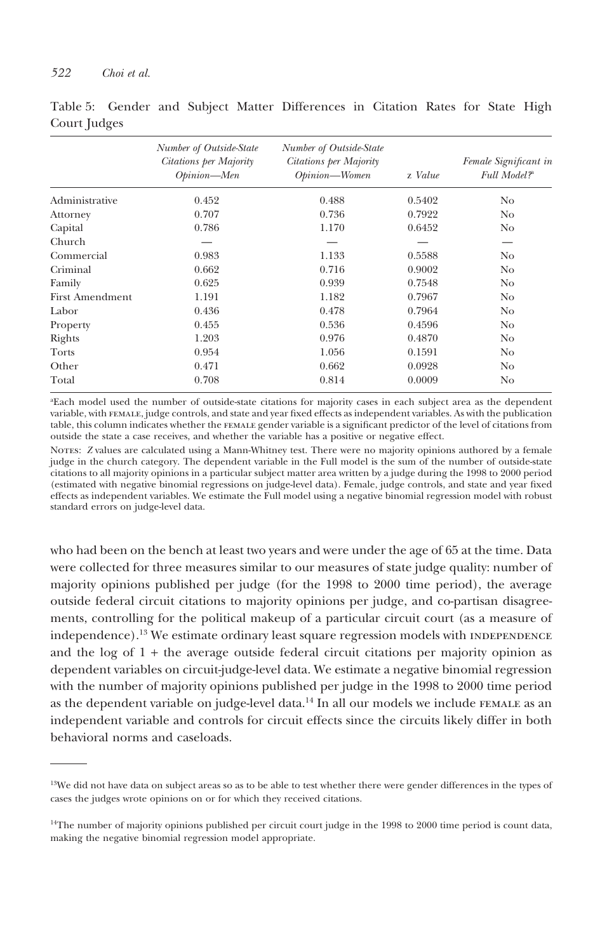|                        | Number of Outside-State<br>Citations per Majority<br>Opinion-Men | Number of Outside-State<br>Citations per Majority<br>Opinion-Women | z Value | Female Significant in<br>Full Model? |
|------------------------|------------------------------------------------------------------|--------------------------------------------------------------------|---------|--------------------------------------|
| Administrative         | 0.452                                                            | 0.488                                                              | 0.5402  | N <sub>o</sub>                       |
| Attorney               | 0.707                                                            | 0.736                                                              | 0.7922  | N <sub>o</sub>                       |
| Capital                | 0.786                                                            | 1.170                                                              | 0.6452  | N <sub>o</sub>                       |
| Church                 |                                                                  |                                                                    |         |                                      |
| Commercial             | 0.983                                                            | 1.133                                                              | 0.5588  | N <sub>o</sub>                       |
| Criminal               | 0.662                                                            | 0.716                                                              | 0.9002  | No                                   |
| Family                 | 0.625                                                            | 0.939                                                              | 0.7548  | N <sub>o</sub>                       |
| <b>First Amendment</b> | 1.191                                                            | 1.182                                                              | 0.7967  | N <sub>o</sub>                       |
| Labor                  | 0.436                                                            | 0.478                                                              | 0.7964  | No                                   |
| Property               | 0.455                                                            | 0.536                                                              | 0.4596  | No                                   |
| Rights                 | 1.203                                                            | 0.976                                                              | 0.4870  | No                                   |
| Torts                  | 0.954                                                            | 1.056                                                              | 0.1591  | No                                   |
| Other                  | 0.471                                                            | 0.662                                                              | 0.0928  | No                                   |
| Total                  | 0.708                                                            | 0.814                                                              | 0.0009  | No                                   |

Table 5: Gender and Subject Matter Differences in Citation Rates for State High Court Judges

a Each model used the number of outside-state citations for majority cases in each subject area as the dependent variable, with female, judge controls, and state and year fixed effects as independent variables. As with the publication table, this column indicates whether the female gender variable is a significant predictor of the level of citations from outside the state a case receives, and whether the variable has a positive or negative effect.

NOTES: *Z* values are calculated using a Mann-Whitney test. There were no majority opinions authored by a female judge in the church category. The dependent variable in the Full model is the sum of the number of outside-state citations to all majority opinions in a particular subject matter area written by a judge during the 1998 to 2000 period (estimated with negative binomial regressions on judge-level data). Female, judge controls, and state and year fixed effects as independent variables. We estimate the Full model using a negative binomial regression model with robust standard errors on judge-level data.

who had been on the bench at least two years and were under the age of 65 at the time. Data were collected for three measures similar to our measures of state judge quality: number of majority opinions published per judge (for the 1998 to 2000 time period), the average outside federal circuit citations to majority opinions per judge, and co-partisan disagreements, controlling for the political makeup of a particular circuit court (as a measure of independence).<sup>13</sup> We estimate ordinary least square regression models with INDEPENDENCE and the  $log$  of  $1 +$  the average outside federal circuit citations per majority opinion as dependent variables on circuit-judge-level data. We estimate a negative binomial regression with the number of majority opinions published per judge in the 1998 to 2000 time period as the dependent variable on judge-level data.14 In all our models we include female as an independent variable and controls for circuit effects since the circuits likely differ in both behavioral norms and caseloads.

<sup>13</sup>We did not have data on subject areas so as to be able to test whether there were gender differences in the types of cases the judges wrote opinions on or for which they received citations.

 $14$ The number of majority opinions published per circuit court judge in the 1998 to 2000 time period is count data, making the negative binomial regression model appropriate.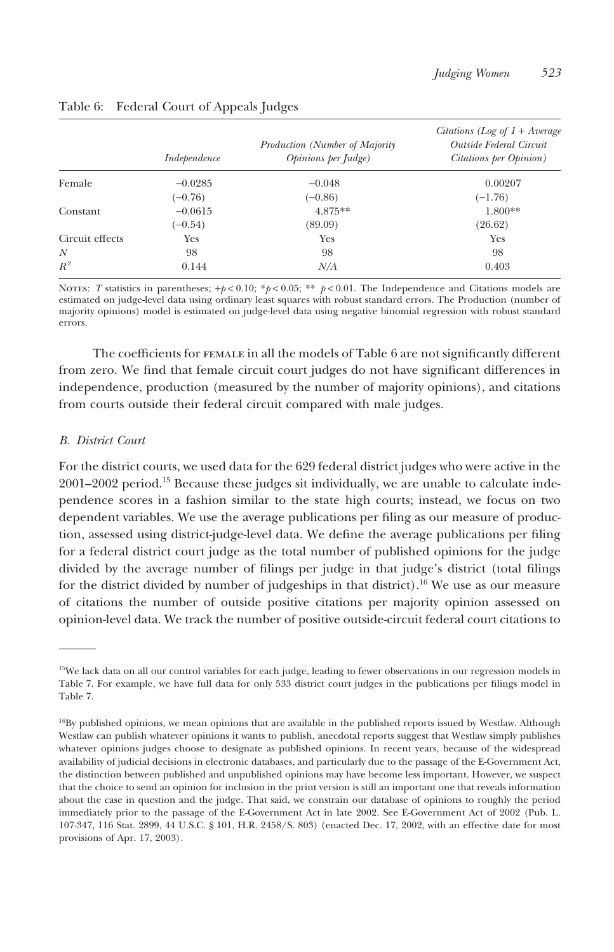|                 | Independence | Production (Number of Majority)<br>Opinions per Judge) | Citations (Log of $1 + Average$<br>Outside Federal Circuit<br>Citations per Opinion) |
|-----------------|--------------|--------------------------------------------------------|--------------------------------------------------------------------------------------|
| Female          | $-0.0285$    | $-0.048$                                               | 0.00207                                                                              |
|                 | $(-0.76)$    | $(-0.86)$                                              | $(-1.76)$                                                                            |
| Constant        | $-0.0615$    | 4.875**                                                | $1.800**$                                                                            |
|                 | $(-0.54)$    | (89.09)                                                | (26.62)                                                                              |
| Circuit effects | Yes          | Yes                                                    | Yes                                                                                  |
| N               | 98           | 98                                                     | 98                                                                                   |
| $R^2$           | 0.144        | N/A                                                    | 0.403                                                                                |

#### Table 6: Federal Court of Appeals Judges

NOTES: *T* statistics in parentheses;  $+p < 0.10$ ; \* $p < 0.05$ ; \*\*  $p < 0.01$ . The Independence and Citations models are estimated on judge-level data using ordinary least squares with robust standard errors. The Production (number of majority opinions) model is estimated on judge-level data using negative binomial regression with robust standard errors.

The coefficients for female in all the models of Table 6 are not significantly different from zero. We find that female circuit court judges do not have significant differences in independence, production (measured by the number of majority opinions), and citations from courts outside their federal circuit compared with male judges.

#### *B. District Court*

For the district courts, we used data for the 629 federal district judges who were active in the  $2001-2002$  period.<sup>15</sup> Because these judges sit individually, we are unable to calculate independence scores in a fashion similar to the state high courts; instead, we focus on two dependent variables. We use the average publications per filing as our measure of production, assessed using district-judge-level data. We define the average publications per filing for a federal district court judge as the total number of published opinions for the judge divided by the average number of filings per judge in that judge's district (total filings for the district divided by number of judgeships in that district).<sup>16</sup> We use as our measure of citations the number of outside positive citations per majority opinion assessed on opinion-level data. We track the number of positive outside-circuit federal court citations to

<sup>&</sup>lt;sup>15</sup>We lack data on all our control variables for each judge, leading to fewer observations in our regression models in Table 7. For example, we have full data for only 533 district court judges in the publications per filings model in Table 7.

 $16$ By published opinions, we mean opinions that are available in the published reports issued by Westlaw. Although Westlaw can publish whatever opinions it wants to publish, anecdotal reports suggest that Westlaw simply publishes whatever opinions judges choose to designate as published opinions. In recent years, because of the widespread availability of judicial decisions in electronic databases, and particularly due to the passage of the E-Government Act, the distinction between published and unpublished opinions may have become less important. However, we suspect that the choice to send an opinion for inclusion in the print version is still an important one that reveals information about the case in question and the judge. That said, we constrain our database of opinions to roughly the period immediately prior to the passage of the E-Government Act in late 2002. See E-Government Act of 2002 (Pub. L. 107-347, 116 Stat. 2899, 44 U.S.C. § 101, H.R. 2458/S. 803) (enacted Dec. 17, 2002, with an effective date for most provisions of Apr. 17, 2003).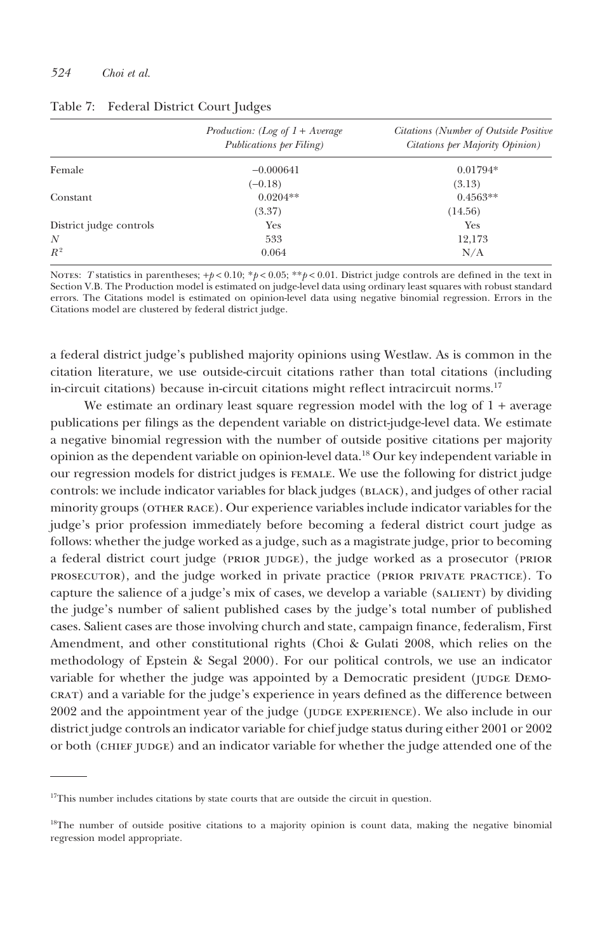|                         | <i>Production:</i> ( <i>Log of <math>1 + Average</math></i> )<br>Publications per Filing) | Citations (Number of Outside Positive<br>Citations per Majority Opinion) |
|-------------------------|-------------------------------------------------------------------------------------------|--------------------------------------------------------------------------|
| Female                  | $-0.000641$                                                                               | $0.01794*$                                                               |
|                         | $(-0.18)$                                                                                 | (3.13)                                                                   |
| Constant                | $0.0204**$                                                                                | $0.4563**$                                                               |
|                         | (3.37)                                                                                    | (14.56)                                                                  |
| District judge controls | Yes                                                                                       | Yes                                                                      |
| $\boldsymbol{N}$        | 533                                                                                       | 12,173                                                                   |
| $R^2$                   | 0.064                                                                                     | N/A                                                                      |

#### Table 7: Federal District Court Judges

NOTES: *T* statistics in parentheses;  $+p < 0.10$ ; \* $p < 0.05$ ; \*\* $p < 0.01$ . District judge controls are defined in the text in Section V.B. The Production model is estimated on judge-level data using ordinary least squares with robust standard errors. The Citations model is estimated on opinion-level data using negative binomial regression. Errors in the Citations model are clustered by federal district judge.

a federal district judge's published majority opinions using Westlaw. As is common in the citation literature, we use outside-circuit citations rather than total citations (including in-circuit citations) because in-circuit citations might reflect intracircuit norms.<sup>17</sup>

We estimate an ordinary least square regression model with the log of  $1 + \text{average}$ publications per filings as the dependent variable on district-judge-level data. We estimate a negative binomial regression with the number of outside positive citations per majority opinion as the dependent variable on opinion-level data.18 Our key independent variable in our regression models for district judges is female. We use the following for district judge controls: we include indicator variables for black judges (BLACK), and judges of other racial minority groups (other race). Our experience variables include indicator variables for the judge's prior profession immediately before becoming a federal district court judge as follows: whether the judge worked as a judge, such as a magistrate judge, prior to becoming a federal district court judge (prior judge), the judge worked as a prosecutor (prior prosecutor), and the judge worked in private practice (prior private practice). To capture the salience of a judge's mix of cases, we develop a variable (salient) by dividing the judge's number of salient published cases by the judge's total number of published cases. Salient cases are those involving church and state, campaign finance, federalism, First Amendment, and other constitutional rights (Choi & Gulati 2008, which relies on the methodology of Epstein & Segal 2000). For our political controls, we use an indicator variable for whether the judge was appointed by a Democratic president (JUDGE DEMOcrat) and a variable for the judge's experience in years defined as the difference between 2002 and the appointment year of the judge (JUDGE EXPERIENCE). We also include in our district judge controls an indicator variable for chief judge status during either 2001 or 2002 or both (chief judge) and an indicator variable for whether the judge attended one of the

<sup>&</sup>lt;sup>17</sup>This number includes citations by state courts that are outside the circuit in question.

<sup>&</sup>lt;sup>18</sup>The number of outside positive citations to a majority opinion is count data, making the negative binomial regression model appropriate.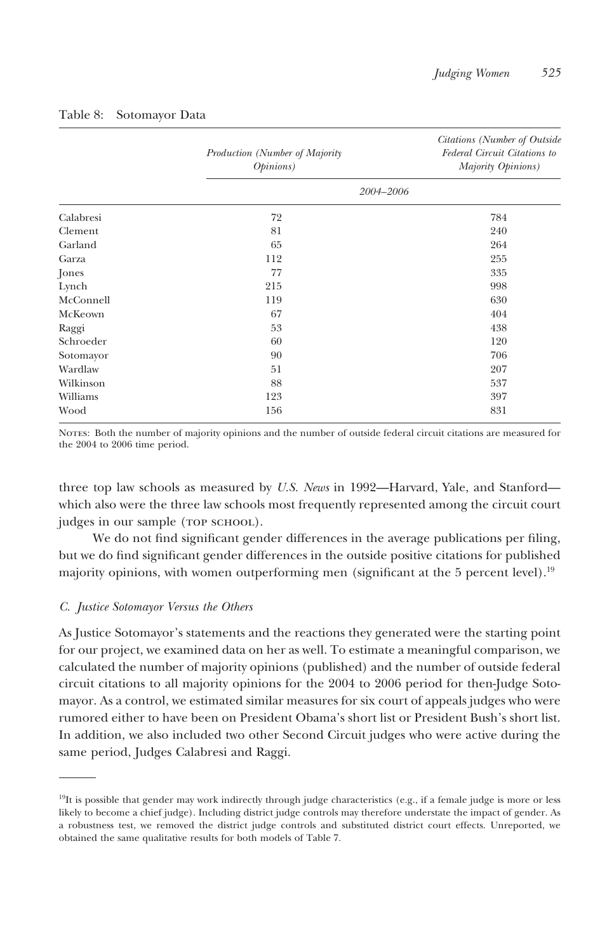|           | Production (Number of Majority | Citations (Number of Outside<br>Federal Circuit Citations to |
|-----------|--------------------------------|--------------------------------------------------------------|
|           | <i>Opinions</i> )              | Majority Opinions)                                           |
|           | 2004-2006                      |                                                              |
| Calabresi | 72                             | 784                                                          |
| Clement   | 81                             | 240                                                          |
| Garland   | 65                             | 264                                                          |
| Garza     | 112                            | 255                                                          |
| Jones     | 77                             | 335                                                          |
| Lynch     | 215                            | 998                                                          |
| McConnell | 119                            | 630                                                          |
| McKeown   | 67                             | 404                                                          |
| Raggi     | 53                             | 438                                                          |
| Schroeder | 60                             | 120                                                          |
| Sotomayor | 90                             | 706                                                          |
| Wardlaw   | 51                             | 207                                                          |
| Wilkinson | 88                             | 537                                                          |
| Williams  | 123                            | 397                                                          |
| Wood      | 156                            | 831                                                          |

#### Table 8: Sotomayor Data

Notes: Both the number of majority opinions and the number of outside federal circuit citations are measured for the 2004 to 2006 time period.

three top law schools as measured by *U.S. News* in 1992—Harvard, Yale, and Stanford which also were the three law schools most frequently represented among the circuit court judges in our sample (TOP SCHOOL).

We do not find significant gender differences in the average publications per filing, but we do find significant gender differences in the outside positive citations for published majority opinions, with women outperforming men (significant at the 5 percent level).<sup>19</sup>

#### *C. Justice Sotomayor Versus the Others*

As Justice Sotomayor's statements and the reactions they generated were the starting point for our project, we examined data on her as well. To estimate a meaningful comparison, we calculated the number of majority opinions (published) and the number of outside federal circuit citations to all majority opinions for the 2004 to 2006 period for then-Judge Sotomayor. As a control, we estimated similar measures for six court of appeals judges who were rumored either to have been on President Obama's short list or President Bush's short list. In addition, we also included two other Second Circuit judges who were active during the same period, Judges Calabresi and Raggi.

 $19$ It is possible that gender may work indirectly through judge characteristics (e.g., if a female judge is more or less likely to become a chief judge). Including district judge controls may therefore understate the impact of gender. As a robustness test, we removed the district judge controls and substituted district court effects. Unreported, we obtained the same qualitative results for both models of Table 7.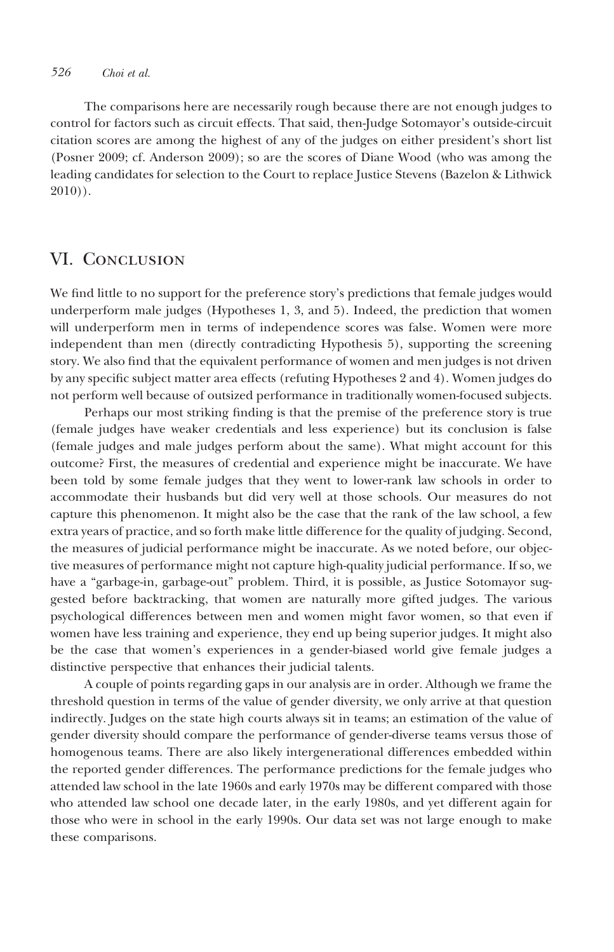The comparisons here are necessarily rough because there are not enough judges to control for factors such as circuit effects. That said, then-Judge Sotomayor's outside-circuit citation scores are among the highest of any of the judges on either president's short list (Posner 2009; cf. Anderson 2009); so are the scores of Diane Wood (who was among the leading candidates for selection to the Court to replace Justice Stevens (Bazelon & Lithwick 2010)).

# VI. Conclusion

We find little to no support for the preference story's predictions that female judges would underperform male judges (Hypotheses 1, 3, and 5). Indeed, the prediction that women will underperform men in terms of independence scores was false. Women were more independent than men (directly contradicting Hypothesis 5), supporting the screening story. We also find that the equivalent performance of women and men judges is not driven by any specific subject matter area effects (refuting Hypotheses 2 and 4). Women judges do not perform well because of outsized performance in traditionally women-focused subjects.

Perhaps our most striking finding is that the premise of the preference story is true (female judges have weaker credentials and less experience) but its conclusion is false (female judges and male judges perform about the same). What might account for this outcome? First, the measures of credential and experience might be inaccurate. We have been told by some female judges that they went to lower-rank law schools in order to accommodate their husbands but did very well at those schools. Our measures do not capture this phenomenon. It might also be the case that the rank of the law school, a few extra years of practice, and so forth make little difference for the quality of judging. Second, the measures of judicial performance might be inaccurate. As we noted before, our objective measures of performance might not capture high-quality judicial performance. If so, we have a "garbage-in, garbage-out" problem. Third, it is possible, as Justice Sotomayor suggested before backtracking, that women are naturally more gifted judges. The various psychological differences between men and women might favor women, so that even if women have less training and experience, they end up being superior judges. It might also be the case that women's experiences in a gender-biased world give female judges a distinctive perspective that enhances their judicial talents.

A couple of points regarding gaps in our analysis are in order. Although we frame the threshold question in terms of the value of gender diversity, we only arrive at that question indirectly. Judges on the state high courts always sit in teams; an estimation of the value of gender diversity should compare the performance of gender-diverse teams versus those of homogenous teams. There are also likely intergenerational differences embedded within the reported gender differences. The performance predictions for the female judges who attended law school in the late 1960s and early 1970s may be different compared with those who attended law school one decade later, in the early 1980s, and yet different again for those who were in school in the early 1990s. Our data set was not large enough to make these comparisons.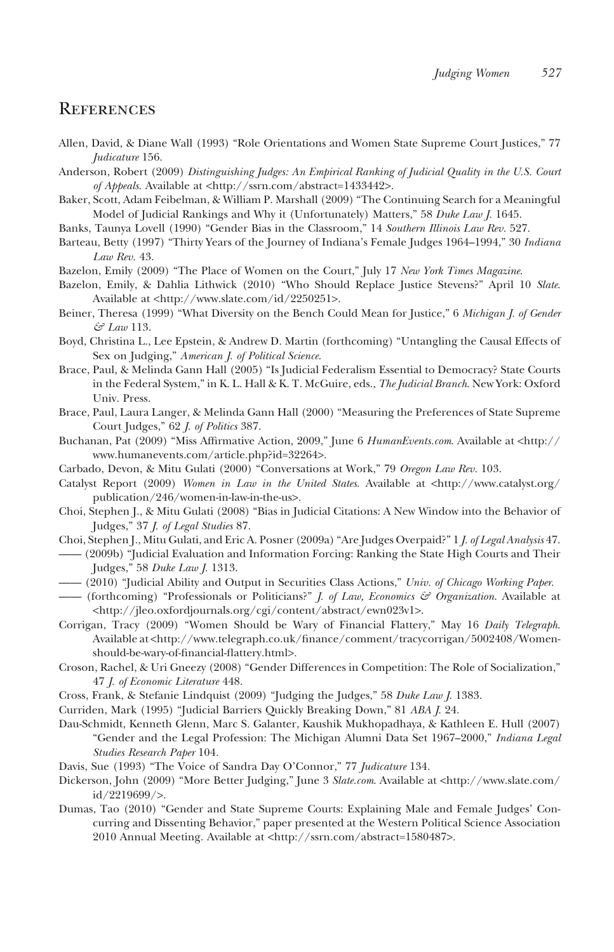## **REFERENCES**

- Allen, David, & Diane Wall (1993) "Role Orientations and Women State Supreme Court Justices," 77 *Judicature* 156.
- Anderson, Robert (2009) *Distinguishing Judges: An Empirical Ranking of Judicial Quality in the U.S. Court of Appeals*. Available at <http://ssrn.com/abstract=1433442>.
- Baker, Scott, Adam Feibelman, & William P. Marshall (2009) "The Continuing Search for a Meaningful Model of Judicial Rankings and Why it (Unfortunately) Matters," 58 *Duke Law J.* 1645.
- Banks, Taunya Lovell (1990) "Gender Bias in the Classroom," 14 *Southern Illinois Law Rev.* 527.
- Barteau, Betty (1997) "Thirty Years of the Journey of Indiana's Female Judges 1964–1994," 30 *Indiana Law Rev.* 43.
- Bazelon, Emily (2009) "The Place of Women on the Court," July 17 *New York Times Magazine*.
- Bazelon, Emily, & Dahlia Lithwick (2010) "Who Should Replace Justice Stevens?" April 10 *Slate*. Available at <http://www.slate.com/id/2250251>.
- Beiner, Theresa (1999) "What Diversity on the Bench Could Mean for Justice," 6 *Michigan J. of Gender & Law* 113.
- Boyd, Christina L., Lee Epstein, & Andrew D. Martin (forthcoming) "Untangling the Causal Effects of Sex on Judging," *American J. of Political Science*.
- Brace, Paul, & Melinda Gann Hall (2005) "Is Judicial Federalism Essential to Democracy? State Courts in the Federal System," in K. L. Hall & K. T. McGuire, eds., *The Judicial Branch*. New York: Oxford Univ. Press.
- Brace, Paul, Laura Langer, & Melinda Gann Hall (2000) "Measuring the Preferences of State Supreme Court Judges," 62 *J. of Politics* 387.
- Buchanan, Pat (2009) "Miss Affirmative Action, 2009," June 6 *HumanEvents.com*. Available at <http:// www.humanevents.com/article.php?id=32264>.
- Carbado, Devon, & Mitu Gulati (2000) "Conversations at Work," 79 *Oregon Law Rev.* 103.
- Catalyst Report (2009) *Women in Law in the United States*. Available at <http://www.catalyst.org/ publication/246/women-in-law-in-the-us>.
- Choi, Stephen J., & Mitu Gulati (2008) "Bias in Judicial Citations: A New Window into the Behavior of Judges," 37 *J. of Legal Studies* 87.
- Choi, Stephen J., Mitu Gulati, and Eric A. Posner (2009a) "Are Judges Overpaid?" 1 *J. of Legal Analysis* 47.
- —— (2009b) "Judicial Evaluation and Information Forcing: Ranking the State High Courts and Their Judges," 58 *Duke Law J.* 1313.
- —— (2010) "Judicial Ability and Output in Securities Class Actions," *Univ. of Chicago Working Paper*.
- —— (forthcoming) "Professionals or Politicians?" *J. of Law, Economics & Organization*. Available at <http://jleo.oxfordjournals.org/cgi/content/abstract/ewn023v1>.
- Corrigan, Tracy (2009) "Women Should be Wary of Financial Flattery," May 16 *Daily Telegraph*. Available at <http://www.telegraph.co.uk/finance/comment/tracycorrigan/5002408/Womenshould-be-wary-of-financial-flattery.html>.
- Croson, Rachel, & Uri Gneezy (2008) "Gender Differences in Competition: The Role of Socialization," 47 *J. of Economic Literature* 448.
- Cross, Frank, & Stefanie Lindquist (2009) "Judging the Judges," 58 *Duke Law J.* 1383.
- Curriden, Mark (1995) "Judicial Barriers Quickly Breaking Down," 81 *ABA J*. 24.
- Dau-Schmidt, Kenneth Glenn, Marc S. Galanter, Kaushik Mukhopadhaya, & Kathleen E. Hull (2007) "Gender and the Legal Profession: The Michigan Alumni Data Set 1967–2000," *Indiana Legal Studies Research Paper* 104.
- Davis, Sue (1993) "The Voice of Sandra Day O'Connor," 77 *Judicature* 134.
- Dickerson, John (2009) "More Better Judging," June 3 *Slate.com*. Available at <http://www.slate.com/ id/2219699/>.
- Dumas, Tao (2010) "Gender and State Supreme Courts: Explaining Male and Female Judges' Concurring and Dissenting Behavior," paper presented at the Western Political Science Association 2010 Annual Meeting. Available at <http://ssrn.com/abstract=1580487>.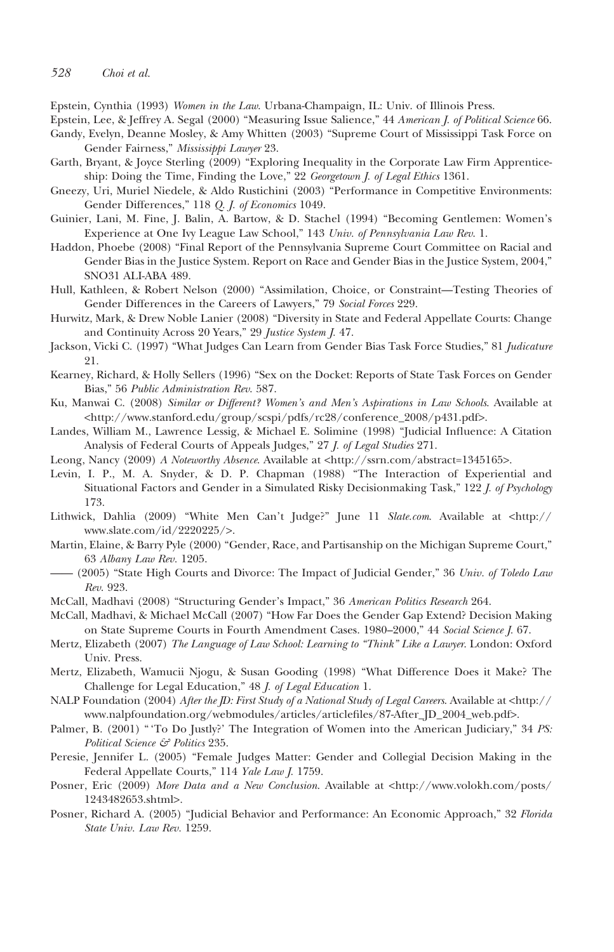Epstein, Cynthia (1993) *Women in the Law*. Urbana-Champaign, IL: Univ. of Illinois Press.

Epstein, Lee, & Jeffrey A. Segal (2000) "Measuring Issue Salience," 44 *American J. of Political Science* 66.

- Gandy, Evelyn, Deanne Mosley, & Amy Whitten (2003) "Supreme Court of Mississippi Task Force on Gender Fairness," *Mississippi Lawyer* 23.
- Garth, Bryant, & Joyce Sterling (2009) "Exploring Inequality in the Corporate Law Firm Apprenticeship: Doing the Time, Finding the Love," 22 *Georgetown J. of Legal Ethics* 1361.
- Gneezy, Uri, Muriel Niedele, & Aldo Rustichini (2003) "Performance in Competitive Environments: Gender Differences," 118 *Q. J. of Economics* 1049.
- Guinier, Lani, M. Fine, J. Balin, A. Bartow, & D. Stachel (1994) "Becoming Gentlemen: Women's Experience at One Ivy League Law School," 143 *Univ. of Pennsylvania Law Rev*. 1.
- Haddon, Phoebe (2008) "Final Report of the Pennsylvania Supreme Court Committee on Racial and Gender Bias in the Justice System. Report on Race and Gender Bias in the Justice System, 2004," SNO31 ALI-ABA 489.
- Hull, Kathleen, & Robert Nelson (2000) "Assimilation, Choice, or Constraint—Testing Theories of Gender Differences in the Careers of Lawyers," 79 *Social Forces* 229.
- Hurwitz, Mark, & Drew Noble Lanier (2008) "Diversity in State and Federal Appellate Courts: Change and Continuity Across 20 Years," 29 *Justice System J.* 47.
- Jackson, Vicki C. (1997) "What Judges Can Learn from Gender Bias Task Force Studies," 81 *Judicature* 21.
- Kearney, Richard, & Holly Sellers (1996) "Sex on the Docket: Reports of State Task Forces on Gender Bias," 56 *Public Administration Rev*. 587.
- Ku, Manwai C. (2008) *Similar or Different? Women's and Men's Aspirations in Law Schools*. Available at <http://www.stanford.edu/group/scspi/pdfs/rc28/conference\_2008/p431.pdf>.
- Landes, William M., Lawrence Lessig, & Michael E. Solimine (1998) "Judicial Influence: A Citation Analysis of Federal Courts of Appeals Judges," 27 *J. of Legal Studies* 271.
- Leong, Nancy (2009) *A Noteworthy Absence*. Available at <http://ssrn.com/abstract=1345165>.
- Levin, I. P., M. A. Snyder, & D. P. Chapman (1988) "The Interaction of Experiential and Situational Factors and Gender in a Simulated Risky Decisionmaking Task," 122 *J. of Psychology* 173.
- Lithwick, Dahlia (2009) "White Men Can't Judge?" June 11 *Slate.com*. Available at <http:// www.slate.com/id/2220225/>.
- Martin, Elaine, & Barry Pyle (2000) "Gender, Race, and Partisanship on the Michigan Supreme Court," 63 *Albany Law Rev.* 1205.
- —— (2005) "State High Courts and Divorce: The Impact of Judicial Gender," 36 *Univ. of Toledo Law Rev*. 923.
- McCall, Madhavi (2008) "Structuring Gender's Impact," 36 *American Politics Research* 264.
- McCall, Madhavi, & Michael McCall (2007) "How Far Does the Gender Gap Extend? Decision Making on State Supreme Courts in Fourth Amendment Cases. 1980–2000," 44 *Social Science J.* 67.
- Mertz, Elizabeth (2007) *The Language of Law School: Learning to "Think" Like a Lawyer*. London: Oxford Univ. Press.
- Mertz, Elizabeth, Wamucii Njogu, & Susan Gooding (1998) "What Difference Does it Make? The Challenge for Legal Education," 48 *J. of Legal Education* 1.
- NALP Foundation (2004) *After the JD: First Study of a National Study of Legal Careers*. Available at <http:// www.nalpfoundation.org/webmodules/articles/articlefiles/87-After\_JD\_2004\_web.pdf>.
- Palmer, B. (2001) " 'To Do Justly?' The Integration of Women into the American Judiciary," 34 *PS: Political Science & Politics* 235.
- Peresie, Jennifer L. (2005) "Female Judges Matter: Gender and Collegial Decision Making in the Federal Appellate Courts," 114 *Yale Law J.* 1759.
- Posner, Eric (2009) *More Data and a New Conclusion*. Available at <http://www.volokh.com/posts/ 1243482653.shtml>.
- Posner, Richard A. (2005) "Judicial Behavior and Performance: An Economic Approach," 32 *Florida State Univ. Law Rev.* 1259.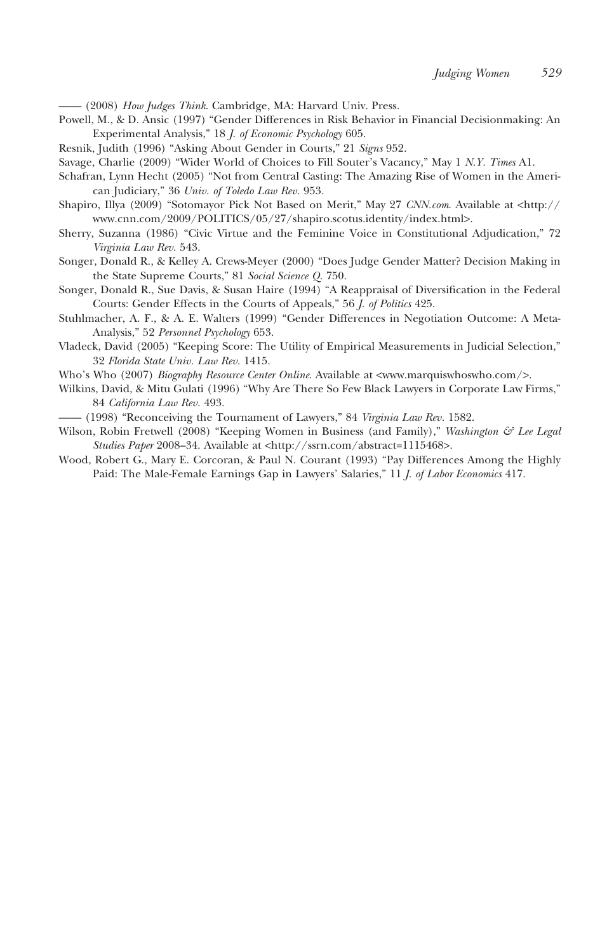—— (2008) *How Judges Think*. Cambridge, MA: Harvard Univ. Press.

- Powell, M., & D. Ansic (1997) "Gender Differences in Risk Behavior in Financial Decisionmaking: An Experimental Analysis," 18 *J. of Economic Psychology* 605.
- Resnik, Judith (1996) "Asking About Gender in Courts," 21 *Signs* 952.
- Savage, Charlie (2009) "Wider World of Choices to Fill Souter's Vacancy," May 1 *N.Y. Times* A1.
- Schafran, Lynn Hecht (2005) "Not from Central Casting: The Amazing Rise of Women in the American Judiciary," 36 *Univ. of Toledo Law Rev.* 953.
- Shapiro, Illya (2009) "Sotomayor Pick Not Based on Merit," May 27 *CNN.com*. Available at <http:// www.cnn.com/2009/POLITICS/05/27/shapiro.scotus.identity/index.html>.
- Sherry, Suzanna (1986) "Civic Virtue and the Feminine Voice in Constitutional Adjudication," 72 *Virginia Law Rev.* 543.
- Songer, Donald R., & Kelley A. Crews-Meyer (2000) "Does Judge Gender Matter? Decision Making in the State Supreme Courts," 81 *Social Science Q.* 750.
- Songer, Donald R., Sue Davis, & Susan Haire (1994) "A Reappraisal of Diversification in the Federal Courts: Gender Effects in the Courts of Appeals," 56 *J. of Politics* 425.
- Stuhlmacher, A. F., & A. E. Walters (1999) "Gender Differences in Negotiation Outcome: A Meta-Analysis," 52 *Personnel Psychology* 653.
- Vladeck, David (2005) "Keeping Score: The Utility of Empirical Measurements in Judicial Selection," 32 *Florida State Univ. Law Rev.* 1415.
- Who's Who (2007) *Biography Resource Center Online*. Available at <www.marquiswhoswho.com/>.
- Wilkins, David, & Mitu Gulati (1996) "Why Are There So Few Black Lawyers in Corporate Law Firms," 84 *California Law Rev.* 493.
- —— (1998) "Reconceiving the Tournament of Lawyers," 84 *Virginia Law Rev.* 1582.
- Wilson, Robin Fretwell (2008) "Keeping Women in Business (and Family)," *Washington & Lee Legal Studies Paper* 2008–34. Available at <http://ssrn.com/abstract=1115468>.
- Wood, Robert G., Mary E. Corcoran, & Paul N. Courant (1993) "Pay Differences Among the Highly Paid: The Male-Female Earnings Gap in Lawyers' Salaries," 11 *J. of Labor Economics* 417.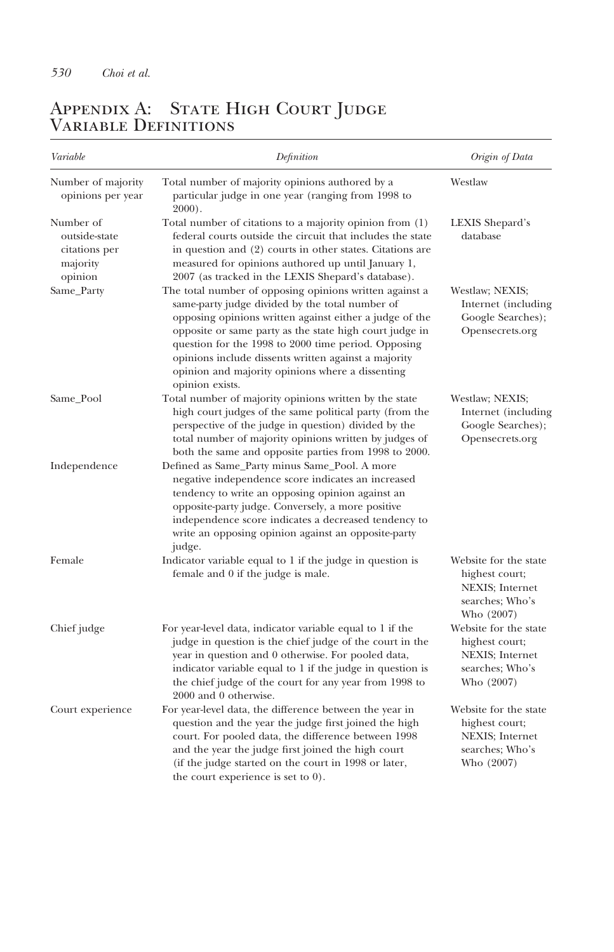|                             | APPENDIX A: STATE HIGH COURT JUDGE |
|-----------------------------|------------------------------------|
| <b>VARIABLE DEFINITIONS</b> |                                    |

| Variable                                                           | Definition                                                                                                                                                                                                                                                                                                                                                                                                             | Origin of Data                                                                              |
|--------------------------------------------------------------------|------------------------------------------------------------------------------------------------------------------------------------------------------------------------------------------------------------------------------------------------------------------------------------------------------------------------------------------------------------------------------------------------------------------------|---------------------------------------------------------------------------------------------|
| Number of majority<br>opinions per year                            | Total number of majority opinions authored by a<br>particular judge in one year (ranging from 1998 to<br>$2000$ ).                                                                                                                                                                                                                                                                                                     | Westlaw                                                                                     |
| Number of<br>outside-state<br>citations per<br>majority<br>opinion | Total number of citations to a majority opinion from (1)<br>federal courts outside the circuit that includes the state<br>in question and (2) courts in other states. Citations are<br>measured for opinions authored up until January 1,<br>2007 (as tracked in the LEXIS Shepard's database).                                                                                                                        | LEXIS Shepard's<br>database                                                                 |
| Same_Party                                                         | The total number of opposing opinions written against a<br>same-party judge divided by the total number of<br>opposing opinions written against either a judge of the<br>opposite or same party as the state high court judge in<br>question for the 1998 to 2000 time period. Opposing<br>opinions include dissents written against a majority<br>opinion and majority opinions where a dissenting<br>opinion exists. | Westlaw; NEXIS;<br>Internet (including<br>Google Searches);<br>Opensecrets.org              |
| Same_Pool                                                          | Total number of majority opinions written by the state<br>high court judges of the same political party (from the<br>perspective of the judge in question) divided by the<br>total number of majority opinions written by judges of<br>both the same and opposite parties from 1998 to 2000.                                                                                                                           | Westlaw; NEXIS;<br>Internet (including<br>Google Searches);<br>Opensecrets.org              |
| Independence                                                       | Defined as Same_Party minus Same_Pool. A more<br>negative independence score indicates an increased<br>tendency to write an opposing opinion against an<br>opposite-party judge. Conversely, a more positive<br>independence score indicates a decreased tendency to<br>write an opposing opinion against an opposite-party<br>judge.                                                                                  |                                                                                             |
| Female                                                             | Indicator variable equal to 1 if the judge in question is<br>female and 0 if the judge is male.                                                                                                                                                                                                                                                                                                                        | Website for the state<br>highest court;<br>NEXIS; Internet<br>searches; Who's<br>Who (2007) |
| Chief judge                                                        | For year-level data, indicator variable equal to 1 if the<br>judge in question is the chief judge of the court in the<br>year in question and 0 otherwise. For pooled data,<br>indicator variable equal to 1 if the judge in question is<br>the chief judge of the court for any year from 1998 to<br>2000 and 0 otherwise.                                                                                            | Website for the state<br>highest court;<br>NEXIS; Internet<br>searches; Who's<br>Who (2007) |
| Court experience                                                   | For year-level data, the difference between the year in<br>question and the year the judge first joined the high<br>court. For pooled data, the difference between 1998<br>and the year the judge first joined the high court<br>(if the judge started on the court in 1998 or later,<br>the court experience is set to $0$ ).                                                                                         | Website for the state<br>highest court;<br>NEXIS; Internet<br>searches; Who's<br>Who (2007) |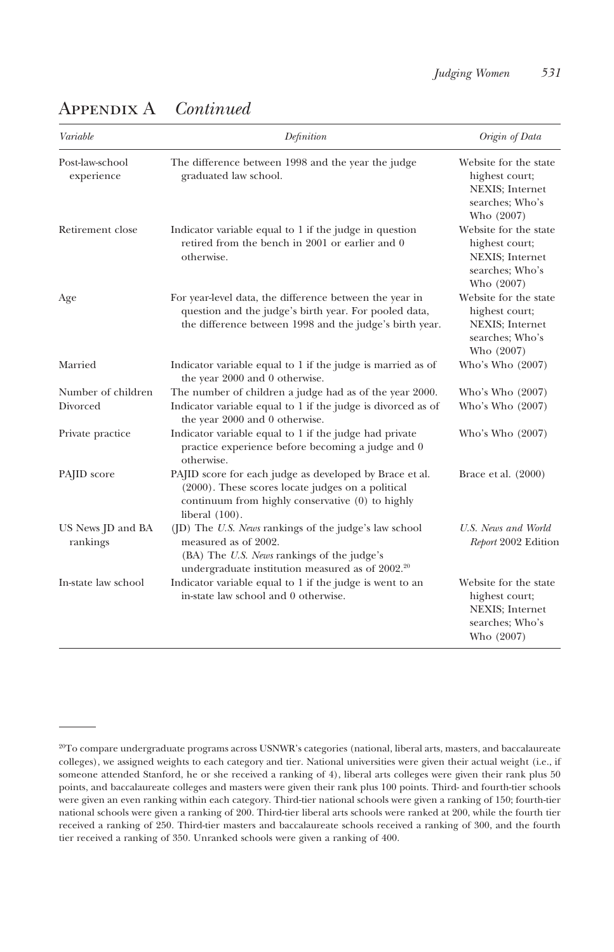| Variable                      | Definition                                                                                                                                                                                  | Origin of Data                                                                                      |
|-------------------------------|---------------------------------------------------------------------------------------------------------------------------------------------------------------------------------------------|-----------------------------------------------------------------------------------------------------|
| Post-law-school<br>experience | The difference between 1998 and the year the judge<br>graduated law school.                                                                                                                 | Website for the state<br>highest court;<br><b>NEXIS</b> : Internet<br>searches; Who's<br>Who (2007) |
| Retirement close              | Indicator variable equal to 1 if the judge in question<br>retired from the bench in 2001 or earlier and 0<br>otherwise.                                                                     | Website for the state<br>highest court;<br>NEXIS; Internet<br>searches; Who's<br>Who (2007)         |
| Age                           | For year-level data, the difference between the year in<br>question and the judge's birth year. For pooled data,<br>the difference between 1998 and the judge's birth year.                 | Website for the state<br>highest court;<br>NEXIS; Internet<br>searches; Who's<br>Who (2007)         |
| Married                       | Indicator variable equal to 1 if the judge is married as of<br>the year 2000 and 0 otherwise.                                                                                               | Who's Who (2007)                                                                                    |
| Number of children            | The number of children a judge had as of the year 2000.                                                                                                                                     | Who's Who (2007)                                                                                    |
| Divorced                      | Indicator variable equal to 1 if the judge is divorced as of<br>the year 2000 and 0 otherwise.                                                                                              | Who's Who (2007)                                                                                    |
| Private practice              | Indicator variable equal to 1 if the judge had private<br>practice experience before becoming a judge and 0<br>otherwise.                                                                   | Who's Who (2007)                                                                                    |
| PAJID score                   | PAJID score for each judge as developed by Brace et al.<br>(2000). These scores locate judges on a political<br>continuum from highly conservative (0) to highly<br>liberal $(100)$ .       | Brace et al. $(2000)$                                                                               |
| US News JD and BA<br>rankings | (JD) The U.S. News rankings of the judge's law school<br>measured as of 2002.<br>(BA) The U.S. News rankings of the judge's<br>undergraduate institution measured as of 2002. <sup>20</sup> | U.S. News and World<br>Report 2002 Edition                                                          |
| In-state law school           | Indicator variable equal to 1 if the judge is went to an<br>in-state law school and 0 otherwise.                                                                                            | Website for the state<br>highest court;<br><b>NEXIS</b> ; Internet<br>searches; Who's<br>Who (2007) |

# Appendix A *Continued*

<sup>20</sup>To compare undergraduate programs across USNWR's categories (national, liberal arts, masters, and baccalaureate colleges), we assigned weights to each category and tier. National universities were given their actual weight (i.e., if someone attended Stanford, he or she received a ranking of 4), liberal arts colleges were given their rank plus 50 points, and baccalaureate colleges and masters were given their rank plus 100 points. Third- and fourth-tier schools were given an even ranking within each category. Third-tier national schools were given a ranking of 150; fourth-tier national schools were given a ranking of 200. Third-tier liberal arts schools were ranked at 200, while the fourth tier received a ranking of 250. Third-tier masters and baccalaureate schools received a ranking of 300, and the fourth tier received a ranking of 350. Unranked schools were given a ranking of 400.